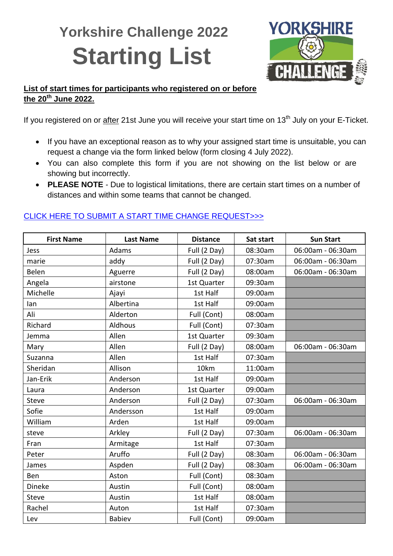## **Yorkshire Challenge 2022 Starting List**



## **List of start times for participants who registered on or before the 20th June 2022.**

If you registered on or after 21st June you will receive your start time on 13<sup>th</sup> July on your E-Ticket.

- If you have an exceptional reason as to why your assigned start time is unsuitable, you can request a change via the form linked below (form closing 4 July 2022).
- You can also complete this form if you are not showing on the list below or are showing but incorrectly.
- **PLEASE NOTE** Due to logistical limitations, there are certain start times on a number of distances and within some teams that cannot be changed.

| <b>First Name</b> | <b>Last Name</b> | <b>Distance</b> | Sat start | <b>Sun Start</b>  |
|-------------------|------------------|-----------------|-----------|-------------------|
| Jess              | Adams            | Full (2 Day)    | 08:30am   | 06:00am - 06:30am |
| marie             | addy             | Full (2 Day)    | 07:30am   | 06:00am - 06:30am |
| Belen             | Aguerre          | Full (2 Day)    | 08:00am   | 06:00am - 06:30am |
| Angela            | airstone         | 1st Quarter     | 09:30am   |                   |
| Michelle          | Ajayi            | 1st Half        | 09:00am   |                   |
| lan               | Albertina        | 1st Half        | 09:00am   |                   |
| Ali               | Alderton         | Full (Cont)     | 08:00am   |                   |
| Richard           | Aldhous          | Full (Cont)     | 07:30am   |                   |
| Jemma             | Allen            | 1st Quarter     | 09:30am   |                   |
| Mary              | Allen            | Full (2 Day)    | 08:00am   | 06:00am - 06:30am |
| Suzanna           | Allen            | 1st Half        | 07:30am   |                   |
| Sheridan          | Allison          | 10km            | 11:00am   |                   |
| Jan-Erik          | Anderson         | 1st Half        | 09:00am   |                   |
| Laura             | Anderson         | 1st Quarter     | 09:00am   |                   |
| <b>Steve</b>      | Anderson         | Full (2 Day)    | 07:30am   | 06:00am - 06:30am |
| Sofie             | Andersson        | 1st Half        | 09:00am   |                   |
| William           | Arden            | 1st Half        | 09:00am   |                   |
| steve             | Arkley           | Full (2 Day)    | 07:30am   | 06:00am - 06:30am |
| Fran              | Armitage         | 1st Half        | 07:30am   |                   |
| Peter             | Aruffo           | Full (2 Day)    | 08:30am   | 06:00am - 06:30am |
| James             | Aspden           | Full (2 Day)    | 08:30am   | 06:00am - 06:30am |
| Ben               | Aston            | Full (Cont)     | 08:30am   |                   |
| Dineke            | Austin           | Full (Cont)     | 08:00am   |                   |
| <b>Steve</b>      | Austin           | 1st Half        | 08:00am   |                   |
| Rachel            | Auton            | 1st Half        | 07:30am   |                   |
| Lev               | <b>Babiev</b>    | Full (Cont)     | 09:00am   |                   |

## CLICK HERE TO SUBMIT [A START TIME CHANGE REQUEST>>>](https://airtable.com/shrAN8AMedL8T5pEF)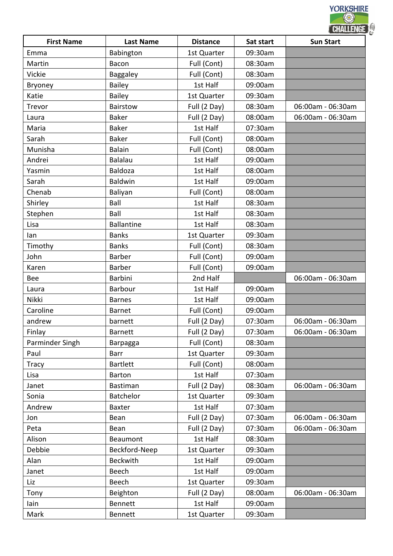|                   |                   |                 |           | CHALLENGE         |
|-------------------|-------------------|-----------------|-----------|-------------------|
| <b>First Name</b> | <b>Last Name</b>  | <b>Distance</b> | Sat start | <b>Sun Start</b>  |
| Emma              | Babington         | 1st Quarter     | 09:30am   |                   |
| Martin            | Bacon             | Full (Cont)     | 08:30am   |                   |
| Vickie            | <b>Baggaley</b>   | Full (Cont)     | 08:30am   |                   |
| <b>Bryoney</b>    | <b>Bailey</b>     | 1st Half        | 09:00am   |                   |
| Katie             | Bailey            | 1st Quarter     | 09:30am   |                   |
| Trevor            | <b>Bairstow</b>   | Full (2 Day)    | 08:30am   | 06:00am - 06:30am |
| Laura             | <b>Baker</b>      | Full (2 Day)    | 08:00am   | 06:00am - 06:30am |
| Maria             | <b>Baker</b>      | 1st Half        | 07:30am   |                   |
| Sarah             | <b>Baker</b>      | Full (Cont)     | 08:00am   |                   |
| Munisha           | <b>Balain</b>     | Full (Cont)     | 08:00am   |                   |
| Andrei            | <b>Balalau</b>    | 1st Half        | 09:00am   |                   |
| Yasmin            | Baldoza           | 1st Half        | 08:00am   |                   |
| Sarah             | <b>Baldwin</b>    | 1st Half        | 09:00am   |                   |
| Chenab            | Baliyan           | Full (Cont)     | 08:00am   |                   |
| Shirley           | Ball              | 1st Half        | 08:30am   |                   |
| Stephen           | Ball              | 1st Half        | 08:30am   |                   |
| Lisa              | <b>Ballantine</b> | 1st Half        | 08:30am   |                   |
| lan               | <b>Banks</b>      | 1st Quarter     | 09:30am   |                   |
| Timothy           | <b>Banks</b>      | Full (Cont)     | 08:30am   |                   |
| John              | <b>Barber</b>     | Full (Cont)     | 09:00am   |                   |
| Karen             | <b>Barber</b>     | Full (Cont)     | 09:00am   |                   |
| Bee               | <b>Barbini</b>    | 2nd Half        |           | 06:00am - 06:30am |
| Laura             | Barbour           | 1st Half        | 09:00am   |                   |
| Nikki             | <b>Barnes</b>     | 1st Half        | 09:00am   |                   |
| Caroline          | <b>Barnet</b>     | Full (Cont)     | 09:00am   |                   |
| andrew            | barnett           | Full (2 Day)    | 07:30am   | 06:00am - 06:30am |
| Finlay            | <b>Barnett</b>    | Full (2 Day)    | 07:30am   | 06:00am - 06:30am |
| Parminder Singh   | Barpagga          | Full (Cont)     | 08:30am   |                   |
| Paul              | Barr              | 1st Quarter     | 09:30am   |                   |
| <b>Tracy</b>      | <b>Bartlett</b>   | Full (Cont)     | 08:00am   |                   |
| Lisa              | <b>Barton</b>     | 1st Half        | 07:30am   |                   |
| Janet             | <b>Bastiman</b>   | Full (2 Day)    | 08:30am   | 06:00am - 06:30am |
| Sonia             | <b>Batchelor</b>  | 1st Quarter     | 09:30am   |                   |
| Andrew            | <b>Baxter</b>     | 1st Half        | 07:30am   |                   |
| Jon               | Bean              | Full (2 Day)    | 07:30am   | 06:00am - 06:30am |
| Peta              | Bean              | Full (2 Day)    | 07:30am   | 06:00am - 06:30am |
| Alison            | Beaumont          | 1st Half        | 08:30am   |                   |
| Debbie            | Beckford-Neep     | 1st Quarter     | 09:30am   |                   |
| Alan              | <b>Beckwith</b>   | 1st Half        | 09:00am   |                   |
| Janet             | <b>Beech</b>      | 1st Half        | 09:00am   |                   |
| Liz               | Beech             | 1st Quarter     | 09:30am   |                   |
| Tony              | Beighton          | Full (2 Day)    | 08:00am   | 06:00am - 06:30am |
| lain              | <b>Bennett</b>    | 1st Half        | 09:00am   |                   |
| Mark              | Bennett           | 1st Quarter     | 09:30am   |                   |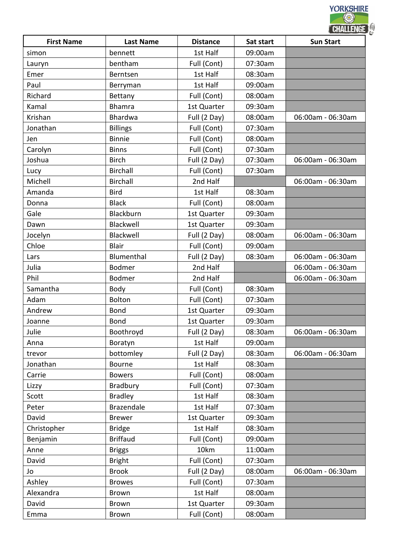|                   |                  |                 | <b>CHALLENGE</b> |                   |  |
|-------------------|------------------|-----------------|------------------|-------------------|--|
| <b>First Name</b> | <b>Last Name</b> | <b>Distance</b> | Sat start        | <b>Sun Start</b>  |  |
| simon             | bennett          | 1st Half        | 09:00am          |                   |  |
| Lauryn            | bentham          | Full (Cont)     | 07:30am          |                   |  |
| Emer              | Berntsen         | 1st Half        | 08:30am          |                   |  |
| Paul              | Berryman         | 1st Half        | 09:00am          |                   |  |
| Richard           | Bettany          | Full (Cont)     | 08:00am          |                   |  |
| Kamal             | <b>Bhamra</b>    | 1st Quarter     | 09:30am          |                   |  |
| Krishan           | Bhardwa          | Full (2 Day)    | 08:00am          | 06:00am - 06:30am |  |
| Jonathan          | <b>Billings</b>  | Full (Cont)     | 07:30am          |                   |  |
| Jen               | <b>Binnie</b>    | Full (Cont)     | 08:00am          |                   |  |
| Carolyn           | <b>Binns</b>     | Full (Cont)     | 07:30am          |                   |  |
| Joshua            | <b>Birch</b>     | Full (2 Day)    | 07:30am          | 06:00am - 06:30am |  |
| Lucy              | <b>Birchall</b>  | Full (Cont)     | 07:30am          |                   |  |
| Michell           | <b>Birchall</b>  | 2nd Half        |                  | 06:00am - 06:30am |  |
| Amanda            | <b>Bird</b>      | 1st Half        | 08:30am          |                   |  |
| Donna             | <b>Black</b>     | Full (Cont)     | 08:00am          |                   |  |
| Gale              | Blackburn        | 1st Quarter     | 09:30am          |                   |  |
| Dawn              | Blackwell        | 1st Quarter     | 09:30am          |                   |  |
| Jocelyn           | Blackwell        | Full (2 Day)    | 08:00am          | 06:00am - 06:30am |  |
| Chloe             | <b>Blair</b>     | Full (Cont)     | 09:00am          |                   |  |
| Lars              | Blumenthal       | Full (2 Day)    | 08:30am          | 06:00am - 06:30am |  |
| Julia             | <b>Bodmer</b>    | 2nd Half        |                  | 06:00am - 06:30am |  |
| Phil              | <b>Bodmer</b>    | 2nd Half        |                  | 06:00am - 06:30am |  |
| Samantha          | Body             | Full (Cont)     | 08:30am          |                   |  |
| Adam              | <b>Bolton</b>    | Full (Cont)     | 07:30am          |                   |  |
| Andrew            | <b>Bond</b>      | 1st Quarter     | 09:30am          |                   |  |
| Joanne            | Bond             | 1st Quarter     | 09:30am          |                   |  |
| Julie             | Boothroyd        | Full (2 Day)    | 08:30am          | 06:00am - 06:30am |  |
| Anna              | Boratyn          | 1st Half        | 09:00am          |                   |  |
| trevor            | bottomley        | Full (2 Day)    | 08:30am          | 06:00am - 06:30am |  |
| Jonathan          | Bourne           | 1st Half        | 08:30am          |                   |  |
| Carrie            | <b>Bowers</b>    | Full (Cont)     | 08:00am          |                   |  |
| Lizzy             | Bradbury         | Full (Cont)     | 07:30am          |                   |  |
| Scott             | <b>Bradley</b>   | 1st Half        | 08:30am          |                   |  |
| Peter             | Brazendale       | 1st Half        | 07:30am          |                   |  |
| David             | <b>Brewer</b>    | 1st Quarter     | 09:30am          |                   |  |
| Christopher       | <b>Bridge</b>    | 1st Half        | 08:30am          |                   |  |
| Benjamin          | <b>Briffaud</b>  | Full (Cont)     | 09:00am          |                   |  |
| Anne              | <b>Briggs</b>    | 10km            | 11:00am          |                   |  |
| David             | <b>Bright</b>    | Full (Cont)     | 07:30am          |                   |  |
| Jo                | <b>Brook</b>     | Full (2 Day)    | 08:00am          | 06:00am - 06:30am |  |
| Ashley            | <b>Browes</b>    | Full (Cont)     | 07:30am          |                   |  |
| Alexandra         | <b>Brown</b>     | 1st Half        | 08:00am          |                   |  |
| David             | <b>Brown</b>     | 1st Quarter     | 09:30am          |                   |  |
| Emma              | Brown            | Full (Cont)     | 08:00am          |                   |  |
|                   |                  |                 |                  |                   |  |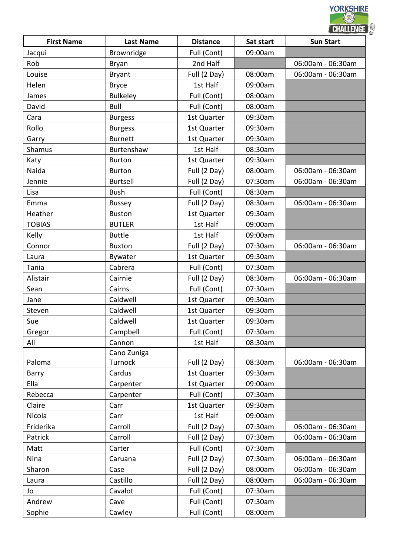|                   |                  |                 |           | <b>CHALLENGE</b>  |
|-------------------|------------------|-----------------|-----------|-------------------|
| <b>First Name</b> | <b>Last Name</b> | <b>Distance</b> | Sat start | <b>Sun Start</b>  |
| Jacqui            | Brownridge       | Full (Cont)     | 09:00am   |                   |
| Rob               | Bryan            | 2nd Half        |           | 06:00am - 06:30am |
| Louise            | <b>Bryant</b>    | Full (2 Day)    | 08:00am   | 06:00am - 06:30am |
| Helen             | <b>Bryce</b>     | 1st Half        | 09:00am   |                   |
| James             | <b>Bulkeley</b>  | Full (Cont)     | 08:00am   |                   |
| David             | Bull             | Full (Cont)     | 08:00am   |                   |
| Cara              | <b>Burgess</b>   | 1st Quarter     | 09:30am   |                   |
| Rollo             | <b>Burgess</b>   | 1st Quarter     | 09:30am   |                   |
| Garry             | <b>Burnett</b>   | 1st Quarter     | 09:30am   |                   |
| Shamus            | Burtenshaw       | 1st Half        | 08:30am   |                   |
| Katy              | <b>Burton</b>    | 1st Quarter     | 09:30am   |                   |
| Naida             | <b>Burton</b>    | Full (2 Day)    | 08:00am   | 06:00am - 06:30am |
| Jennie            | <b>Burtsell</b>  | Full (2 Day)    | 07:30am   | 06:00am - 06:30am |
| Lisa              | <b>Bush</b>      | Full (Cont)     | 08:30am   |                   |
| Emma              | <b>Bussey</b>    | Full (2 Day)    | 08:30am   | 06:00am - 06:30am |
| Heather           | <b>Buston</b>    | 1st Quarter     | 09:30am   |                   |
| <b>TOBIAS</b>     | <b>BUTLER</b>    | 1st Half        | 09:00am   |                   |
| Kelly             | <b>Buttle</b>    | 1st Half        | 09:00am   |                   |
| Connor            | <b>Buxton</b>    | Full (2 Day)    | 07:30am   | 06:00am - 06:30am |
| Laura             | Bywater          | 1st Quarter     | 09:30am   |                   |
| Tania             | Cabrera          | Full (Cont)     | 07:30am   |                   |
| Alistair          | Cairnie          | Full (2 Day)    | 08:30am   | 06:00am - 06:30am |
| Sean              | Cairns           | Full (Cont)     | 07:30am   |                   |
| Jane              | Caldwell         | 1st Quarter     | 09:30am   |                   |
| Steven            | Caldwell         | 1st Quarter     | 09:30am   |                   |
| Sue               | Caldwell         | 1st Quarter     | 09:30am   |                   |
| Gregor            | Campbell         | Full (Cont)     | 07:30am   |                   |
| Ali               | Cannon           | 1st Half        | 08:30am   |                   |
|                   | Cano Zuniga      |                 |           |                   |
| Paloma            | Turnock          | Full (2 Day)    | 08:30am   | 06:00am - 06:30am |
| Barry             | Cardus           | 1st Quarter     | 09:30am   |                   |
| Ella              | Carpenter        | 1st Quarter     | 09:00am   |                   |
| Rebecca           | Carpenter        | Full (Cont)     | 07:30am   |                   |
| Claire            | Carr             | 1st Quarter     | 09:30am   |                   |
| Nicola            | Carr             | 1st Half        | 09:00am   |                   |
| Friderika         | Carroll          | Full (2 Day)    | 07:30am   | 06:00am - 06:30am |
| Patrick           | Carroll          | Full (2 Day)    | 07:30am   | 06:00am - 06:30am |
| Matt              | Carter           | Full (Cont)     | 07:30am   |                   |
| Nina              | Caruana          | Full (2 Day)    | 07:30am   | 06:00am - 06:30am |
| Sharon            | Case             | Full (2 Day)    | 08:00am   | 06:00am - 06:30am |
| Laura             | Castillo         | Full (2 Day)    | 08:00am   | 06:00am - 06:30am |
| Jo                | Cavalot          | Full (Cont)     | 07:30am   |                   |
| Andrew            | Cave             | Full (Cont)     | 07:30am   |                   |
| Sophie            | Cawley           | Full (Cont)     | 08:00am   |                   |
|                   |                  |                 |           |                   |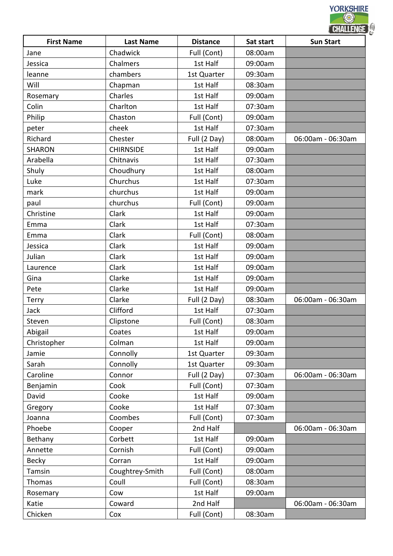|                   |                  |                 | <b>CHALLENGE</b> |                   |  |
|-------------------|------------------|-----------------|------------------|-------------------|--|
| <b>First Name</b> | <b>Last Name</b> | <b>Distance</b> | Sat start        | <b>Sun Start</b>  |  |
| Jane              | Chadwick         | Full (Cont)     | 08:00am          |                   |  |
| Jessica           | Chalmers         | 1st Half        | 09:00am          |                   |  |
| leanne            | chambers         | 1st Quarter     | 09:30am          |                   |  |
| Will              | Chapman          | 1st Half        | 08:30am          |                   |  |
| Rosemary          | Charles          | 1st Half        | 09:00am          |                   |  |
| Colin             | Charlton         | 1st Half        | 07:30am          |                   |  |
| Philip            | Chaston          | Full (Cont)     | 09:00am          |                   |  |
| peter             | cheek            | 1st Half        | 07:30am          |                   |  |
| Richard           | Chester          | Full (2 Day)    | 08:00am          | 06:00am - 06:30am |  |
| <b>SHARON</b>     | <b>CHIRNSIDE</b> | 1st Half        | 09:00am          |                   |  |
| Arabella          | Chitnavis        | 1st Half        | 07:30am          |                   |  |
| Shuly             | Choudhury        | 1st Half        | 08:00am          |                   |  |
| Luke              | Churchus         | 1st Half        | 07:30am          |                   |  |
| mark              | churchus         | 1st Half        | 09:00am          |                   |  |
| paul              | churchus         | Full (Cont)     | 09:00am          |                   |  |
| Christine         | Clark            | 1st Half        | 09:00am          |                   |  |
| Emma              | Clark            | 1st Half        | 07:30am          |                   |  |
| Emma              | Clark            | Full (Cont)     | 08:00am          |                   |  |
| Jessica           | Clark            | 1st Half        | 09:00am          |                   |  |
| Julian            | Clark            | 1st Half        | 09:00am          |                   |  |
| Laurence          | Clark            | 1st Half        | 09:00am          |                   |  |
| Gina              | Clarke           | 1st Half        | 09:00am          |                   |  |
| Pete              | Clarke           | 1st Half        | 09:00am          |                   |  |
| Terry             | Clarke           | Full (2 Day)    | 08:30am          | 06:00am - 06:30am |  |
| Jack              | Clifford         | 1st Half        | 07:30am          |                   |  |
| Steven            | Clipstone        | Full (Cont)     | 08:30am          |                   |  |
| Abigail           | Coates           | 1st Half        | 09:00am          |                   |  |
| Christopher       | Colman           | 1st Half        | 09:00am          |                   |  |
| Jamie             | Connolly         | 1st Quarter     | 09:30am          |                   |  |
| Sarah             | Connolly         | 1st Quarter     | 09:30am          |                   |  |
| Caroline          | Connor           | Full (2 Day)    | 07:30am          | 06:00am - 06:30am |  |
| Benjamin          | Cook             | Full (Cont)     | 07:30am          |                   |  |
| David             | Cooke            | 1st Half        | 09:00am          |                   |  |
| Gregory           | Cooke            | 1st Half        | 07:30am          |                   |  |
| Joanna            | Coombes          | Full (Cont)     | 07:30am          |                   |  |
| Phoebe            | Cooper           | 2nd Half        |                  | 06:00am - 06:30am |  |
| Bethany           | Corbett          | 1st Half        | 09:00am          |                   |  |
| Annette           | Cornish          | Full (Cont)     | 09:00am          |                   |  |
| <b>Becky</b>      | Corran           | 1st Half        | 09:00am          |                   |  |
| Tamsin            | Coughtrey-Smith  | Full (Cont)     | 08:00am          |                   |  |
| Thomas            | Coull            | Full (Cont)     | 08:30am          |                   |  |
|                   | Cow              | 1st Half        | 09:00am          |                   |  |
| Rosemary          |                  |                 |                  |                   |  |
| Katie             | Coward           | 2nd Half        |                  | 06:00am - 06:30am |  |
| Chicken           | Cox              | Full (Cont)     | 08:30am          |                   |  |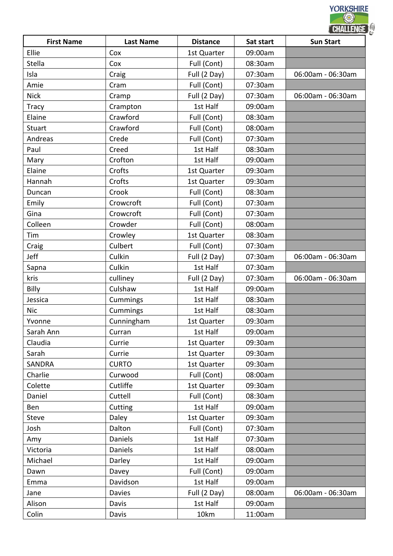|                   |                  |                 | <b>CHALLENGE</b> |                   |  |
|-------------------|------------------|-----------------|------------------|-------------------|--|
| <b>First Name</b> | <b>Last Name</b> | <b>Distance</b> | Sat start        | <b>Sun Start</b>  |  |
| Ellie             | Cox              | 1st Quarter     | 09:00am          |                   |  |
| Stella            | Cox              | Full (Cont)     | 08:30am          |                   |  |
| Isla              | Craig            | Full (2 Day)    | 07:30am          | 06:00am - 06:30am |  |
| Amie              | Cram             | Full (Cont)     | 07:30am          |                   |  |
| <b>Nick</b>       | Cramp            | Full (2 Day)    | 07:30am          | 06:00am - 06:30am |  |
| <b>Tracy</b>      | Crampton         | 1st Half        | 09:00am          |                   |  |
| Elaine            | Crawford         | Full (Cont)     | 08:30am          |                   |  |
| Stuart            | Crawford         | Full (Cont)     | 08:00am          |                   |  |
| Andreas           | Crede            | Full (Cont)     | 07:30am          |                   |  |
| Paul              | Creed            | 1st Half        | 08:30am          |                   |  |
| Mary              | Crofton          | 1st Half        | 09:00am          |                   |  |
| Elaine            | Crofts           | 1st Quarter     | 09:30am          |                   |  |
| Hannah            | Crofts           | 1st Quarter     | 09:30am          |                   |  |
| Duncan            | Crook            | Full (Cont)     | 08:30am          |                   |  |
| Emily             | Crowcroft        | Full (Cont)     | 07:30am          |                   |  |
| Gina              | Crowcroft        | Full (Cont)     | 07:30am          |                   |  |
| Colleen           | Crowder          | Full (Cont)     | 08:00am          |                   |  |
| Tim               | Crowley          | 1st Quarter     | 08:30am          |                   |  |
| Craig             | Culbert          | Full (Cont)     | 07:30am          |                   |  |
| Jeff              | Culkin           | Full (2 Day)    | 07:30am          | 06:00am - 06:30am |  |
| Sapna             | Culkin           | 1st Half        | 07:30am          |                   |  |
| kris              | culliney         | Full (2 Day)    | 07:30am          | 06:00am - 06:30am |  |
| Billy             | Culshaw          | 1st Half        | 09:00am          |                   |  |
| Jessica           | Cummings         | 1st Half        | 08:30am          |                   |  |
| <b>Nic</b>        | Cummings         | 1st Half        | 08:30am          |                   |  |
| Yvonne            | Cunningham       | 1st Quarter     | 09:30am          |                   |  |
| Sarah Ann         | Curran           | 1st Half        | 09:00am          |                   |  |
| Claudia           | Currie           | 1st Quarter     | 09:30am          |                   |  |
| Sarah             | Currie           | 1st Quarter     | 09:30am          |                   |  |
| <b>SANDRA</b>     | <b>CURTO</b>     | 1st Quarter     | 09:30am          |                   |  |
| Charlie           | Curwood          | Full (Cont)     | 08:00am          |                   |  |
| Colette           | Cutliffe         | 1st Quarter     | 09:30am          |                   |  |
| Daniel            | Cuttell          | Full (Cont)     | 08:30am          |                   |  |
| Ben               | Cutting          | 1st Half        | 09:00am          |                   |  |
| <b>Steve</b>      | Daley            | 1st Quarter     | 09:30am          |                   |  |
| Josh              | Dalton           | Full (Cont)     | 07:30am          |                   |  |
| Amy               | Daniels          | 1st Half        | 07:30am          |                   |  |
| Victoria          | Daniels          | 1st Half        | 08:00am          |                   |  |
| Michael           | Darley           | 1st Half        | 09:00am          |                   |  |
| Dawn              | Davey            | Full (Cont)     | 09:00am          |                   |  |
| Emma              | Davidson         | 1st Half        | 09:00am          |                   |  |
| Jane              | Davies           | Full (2 Day)    | 08:00am          | 06:00am - 06:30am |  |
| Alison            | Davis            | 1st Half        | 09:00am          |                   |  |
| Colin             | Davis            | 10km            | 11:00am          |                   |  |
|                   |                  |                 |                  |                   |  |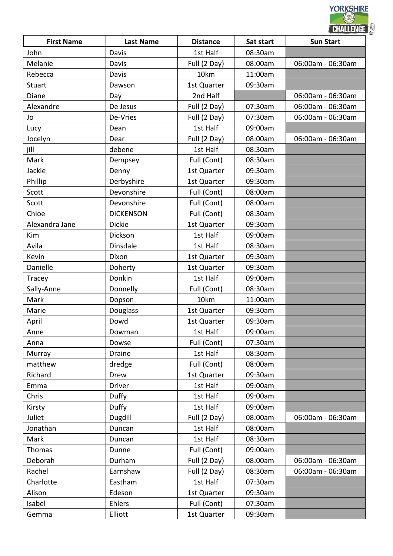|                   |                  |                 | <b>CHALLENGE</b> |                   |  |
|-------------------|------------------|-----------------|------------------|-------------------|--|
| <b>First Name</b> | <b>Last Name</b> | <b>Distance</b> | Sat start        | <b>Sun Start</b>  |  |
| John              | Davis            | 1st Half        | 08:30am          |                   |  |
| Melanie           | Davis            | Full (2 Day)    | 08:00am          | 06:00am - 06:30am |  |
| Rebecca           | Davis            | 10km            | 11:00am          |                   |  |
| <b>Stuart</b>     | Dawson           | 1st Quarter     | 09:30am          |                   |  |
| Diane             | Day              | 2nd Half        |                  | 06:00am - 06:30am |  |
| Alexandre         | De Jesus         | Full (2 Day)    | 07:30am          | 06:00am - 06:30am |  |
| Jo                | De-Vries         | Full (2 Day)    | 07:30am          | 06:00am - 06:30am |  |
| Lucy              | Dean             | 1st Half        | 09:00am          |                   |  |
| Jocelyn           | Dear             | Full (2 Day)    | 08:00am          | 06:00am - 06:30am |  |
| jill              | debene           | 1st Half        | 08:30am          |                   |  |
| Mark              | Dempsey          | Full (Cont)     | 08:30am          |                   |  |
| Jackie            | Denny            | 1st Quarter     | 09:30am          |                   |  |
| Phillip           | Derbyshire       | 1st Quarter     | 09:30am          |                   |  |
| Scott             | Devonshire       | Full (Cont)     | 08:00am          |                   |  |
| Scott             | Devonshire       | Full (Cont)     | 08:00am          |                   |  |
| Chloe             | <b>DICKENSON</b> | Full (Cont)     | 08:30am          |                   |  |
| Alexandra Jane    | <b>Dickie</b>    | 1st Quarter     | 09:30am          |                   |  |
| Kim               | Dickson          | 1st Half        | 09:00am          |                   |  |
| Avila             | Dinsdale         | 1st Half        | 08:30am          |                   |  |
| Kevin             | Dixon            | 1st Quarter     | 09:30am          |                   |  |
| Danielle          | Doherty          | 1st Quarter     | 09:30am          |                   |  |
| Tracey            | Donkin           | 1st Half        | 09:00am          |                   |  |
| Sally-Anne        | Donnelly         | Full (Cont)     | 08:30am          |                   |  |
| Mark              | Dopson           | 10km            | 11:00am          |                   |  |
| Marie             | Douglass         | 1st Quarter     | 09:30am          |                   |  |
| April             | Dowd             | 1st Quarter     | 09:30am          |                   |  |
| Anne              | Dowman           | 1st Half        | 09:00am          |                   |  |
| Anna              | Dowse            | Full (Cont)     | 07:30am          |                   |  |
| Murray            | Draine           | 1st Half        | 08:30am          |                   |  |
| matthew           | dredge           | Full (Cont)     | 08:00am          |                   |  |
| Richard           | Drew             | 1st Quarter     | 09:30am          |                   |  |
| Emma              | Driver           | 1st Half        | 09:00am          |                   |  |
| Chris             | Duffy            | 1st Half        | 09:00am          |                   |  |
| Kirsty            | Duffy            | 1st Half        | 09:00am          |                   |  |
| Juliet            | Dugdill          | Full (2 Day)    | 08:00am          | 06:00am - 06:30am |  |
| Jonathan          | Duncan           | 1st Half        | 08:00am          |                   |  |
| Mark              | Duncan           | 1st Half        | 08:30am          |                   |  |
| Thomas            | Dunne            | Full (Cont)     | 09:00am          |                   |  |
| Deborah           | Durham           | Full (2 Day)    | 08:00am          | 06:00am - 06:30am |  |
| Rachel            | Earnshaw         | Full (2 Day)    | 08:30am          | 06:00am - 06:30am |  |
| Charlotte         | Eastham          | 1st Half        | 07:30am          |                   |  |
| Alison            | Edeson           | 1st Quarter     | 09:30am          |                   |  |
| Isabel            | Ehlers           | Full (Cont)     | 07:30am          |                   |  |
| Gemma             | Elliott          | 1st Quarter     | 09:30am          |                   |  |
|                   |                  |                 |                  |                   |  |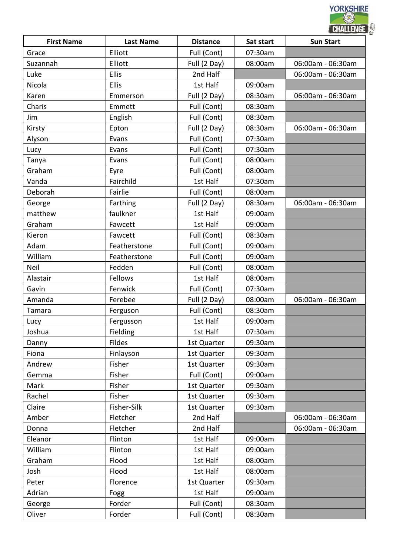|                   |                  |                 |           | <b>CHALLENGE</b>  |
|-------------------|------------------|-----------------|-----------|-------------------|
| <b>First Name</b> | <b>Last Name</b> | <b>Distance</b> | Sat start | <b>Sun Start</b>  |
| Grace             | Elliott          | Full (Cont)     | 07:30am   |                   |
| Suzannah          | Elliott          | Full (2 Day)    | 08:00am   | 06:00am - 06:30am |
| Luke              | <b>Ellis</b>     | 2nd Half        |           | 06:00am - 06:30am |
| Nicola            | <b>Ellis</b>     | 1st Half        | 09:00am   |                   |
| Karen             | Emmerson         | Full (2 Day)    | 08:30am   | 06:00am - 06:30am |
| Charis            | Emmett           | Full (Cont)     | 08:30am   |                   |
| Jim               | English          | Full (Cont)     | 08:30am   |                   |
| Kirsty            | Epton            | Full (2 Day)    | 08:30am   | 06:00am - 06:30am |
| Alyson            | Evans            | Full (Cont)     | 07:30am   |                   |
| Lucy              | Evans            | Full (Cont)     | 07:30am   |                   |
| Tanya             | Evans            | Full (Cont)     | 08:00am   |                   |
| Graham            | Eyre             | Full (Cont)     | 08:00am   |                   |
| Vanda             | Fairchild        | 1st Half        | 07:30am   |                   |
| Deborah           | Fairlie          | Full (Cont)     | 08:00am   |                   |
| George            | Farthing         | Full (2 Day)    | 08:30am   | 06:00am - 06:30am |
| matthew           | faulkner         | 1st Half        | 09:00am   |                   |
| Graham            | Fawcett          | 1st Half        | 09:00am   |                   |
| Kieron            | Fawcett          | Full (Cont)     | 08:30am   |                   |
| Adam              | Featherstone     | Full (Cont)     | 09:00am   |                   |
| William           | Featherstone     | Full (Cont)     | 09:00am   |                   |
| Neil              | Fedden           | Full (Cont)     | 08:00am   |                   |
| Alastair          | Fellows          | 1st Half        | 08:00am   |                   |
| Gavin             | Fenwick          | Full (Cont)     | 07:30am   |                   |
| Amanda            | Ferebee          | Full (2 Day)    | 08:00am   | 06:00am - 06:30am |
| Tamara            | Ferguson         | Full (Cont)     | 08:30am   |                   |
| Lucy              | Fergusson        | 1st Half        | 09:00am   |                   |
| Joshua            | Fielding         | 1st Half        | 07:30am   |                   |
| Danny             | Fildes           | 1st Quarter     | 09:30am   |                   |
| Fiona             | Finlayson        | 1st Quarter     | 09:30am   |                   |
| Andrew            | Fisher           | 1st Quarter     | 09:30am   |                   |
| Gemma             | Fisher           | Full (Cont)     | 09:00am   |                   |
| Mark              | Fisher           | 1st Quarter     | 09:30am   |                   |
| Rachel            | Fisher           | 1st Quarter     | 09:30am   |                   |
| Claire            | Fisher-Silk      | 1st Quarter     | 09:30am   |                   |
| Amber             | Fletcher         | 2nd Half        |           | 06:00am - 06:30am |
| Donna             | Fletcher         | 2nd Half        |           | 06:00am - 06:30am |
| Eleanor           | Flinton          | 1st Half        | 09:00am   |                   |
| William           | Flinton          | 1st Half        | 09:00am   |                   |
| Graham            | Flood            | 1st Half        | 08:00am   |                   |
| Josh              | Flood            | 1st Half        | 08:00am   |                   |
| Peter             | Florence         | 1st Quarter     | 09:30am   |                   |
| Adrian            | Fogg             | 1st Half        | 09:00am   |                   |
| George            | Forder           | Full (Cont)     | 08:30am   |                   |
| Oliver            | Forder           | Full (Cont)     | 08:30am   |                   |
|                   |                  |                 |           |                   |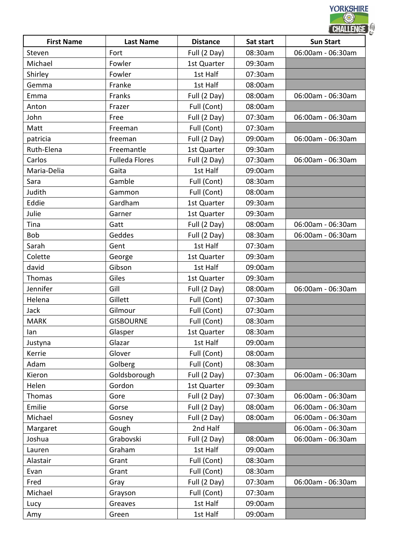|                   |                       |                 | CHALLENGE |                   |  |
|-------------------|-----------------------|-----------------|-----------|-------------------|--|
| <b>First Name</b> | <b>Last Name</b>      | <b>Distance</b> | Sat start | <b>Sun Start</b>  |  |
| Steven            | Fort                  | Full (2 Day)    | 08:30am   | 06:00am - 06:30am |  |
| Michael           | Fowler                | 1st Quarter     | 09:30am   |                   |  |
| Shirley           | Fowler                | 1st Half        | 07:30am   |                   |  |
| Gemma             | Franke                | 1st Half        | 08:00am   |                   |  |
| Emma              | Franks                | Full (2 Day)    | 08:00am   | 06:00am - 06:30am |  |
| Anton             | Frazer                | Full (Cont)     | 08:00am   |                   |  |
| John              | Free                  | Full (2 Day)    | 07:30am   | 06:00am - 06:30am |  |
| Matt              | Freeman               | Full (Cont)     | 07:30am   |                   |  |
| patricia          | freeman               | Full (2 Day)    | 09:00am   | 06:00am - 06:30am |  |
| Ruth-Elena        | Freemantle            | 1st Quarter     | 09:30am   |                   |  |
| Carlos            | <b>Fulleda Flores</b> | Full (2 Day)    | 07:30am   | 06:00am - 06:30am |  |
| Maria-Delia       | Gaita                 | 1st Half        | 09:00am   |                   |  |
| Sara              | Gamble                | Full (Cont)     | 08:30am   |                   |  |
| Judith            | Gammon                | Full (Cont)     | 08:00am   |                   |  |
| Eddie             | Gardham               | 1st Quarter     | 09:30am   |                   |  |
| Julie             | Garner                | 1st Quarter     | 09:30am   |                   |  |
| Tina              | Gatt                  | Full (2 Day)    | 08:00am   | 06:00am - 06:30am |  |
| Bob               | Geddes                | Full (2 Day)    | 08:30am   | 06:00am - 06:30am |  |
| Sarah             | Gent                  | 1st Half        | 07:30am   |                   |  |
| Colette           | George                | 1st Quarter     | 09:30am   |                   |  |
| david             | Gibson                | 1st Half        | 09:00am   |                   |  |
| Thomas            | Giles                 | 1st Quarter     | 09:30am   |                   |  |
| Jennifer          | Gill                  | Full (2 Day)    | 08:00am   | 06:00am - 06:30am |  |
| Helena            | Gillett               | Full (Cont)     | 07:30am   |                   |  |
| Jack              | Gilmour               | Full (Cont)     | 07:30am   |                   |  |
| <b>MARK</b>       | <b>GISBOURNE</b>      | Full (Cont)     | 08:30am   |                   |  |
| lan               | Glasper               | 1st Quarter     | 08:30am   |                   |  |
| Justyna           | Glazar                | 1st Half        | 09:00am   |                   |  |
| Kerrie            | Glover                | Full (Cont)     | 08:00am   |                   |  |
| Adam              | Golberg               | Full (Cont)     | 08:30am   |                   |  |
| Kieron            | Goldsborough          | Full (2 Day)    | 07:30am   | 06:00am - 06:30am |  |
| Helen             | Gordon                | 1st Quarter     | 09:30am   |                   |  |
| Thomas            | Gore                  | Full (2 Day)    | 07:30am   | 06:00am - 06:30am |  |
| Emilie            | Gorse                 | Full (2 Day)    | 08:00am   | 06:00am - 06:30am |  |
| Michael           | Gosney                | Full (2 Day)    | 08:00am   | 06:00am - 06:30am |  |
| Margaret          | Gough                 | 2nd Half        |           | 06:00am - 06:30am |  |
| Joshua            | Grabovski             | Full (2 Day)    | 08:00am   | 06:00am - 06:30am |  |
| Lauren            | Graham                | 1st Half        | 09:00am   |                   |  |
| Alastair          | Grant                 | Full (Cont)     | 08:30am   |                   |  |
| Evan              | Grant                 | Full (Cont)     | 08:30am   |                   |  |
| Fred              | Gray                  | Full (2 Day)    | 07:30am   | 06:00am - 06:30am |  |
| Michael           | Grayson               | Full (Cont)     | 07:30am   |                   |  |
| Lucy              | Greaves               | 1st Half        | 09:00am   |                   |  |
| Amy               | Green                 | 1st Half        | 09:00am   |                   |  |
|                   |                       |                 |           |                   |  |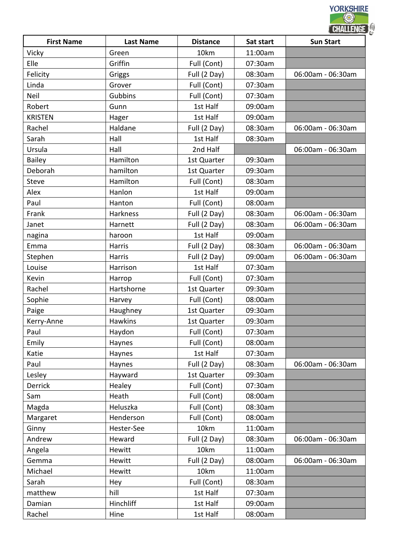|                   |                  |                 | CHALLENGE |                   |  |
|-------------------|------------------|-----------------|-----------|-------------------|--|
| <b>First Name</b> | <b>Last Name</b> | <b>Distance</b> | Sat start | <b>Sun Start</b>  |  |
| Vicky             | Green            | 10km            | 11:00am   |                   |  |
| Elle              | Griffin          | Full (Cont)     | 07:30am   |                   |  |
| Felicity          | Griggs           | Full (2 Day)    | 08:30am   | 06:00am - 06:30am |  |
| Linda             | Grover           | Full (Cont)     | 07:30am   |                   |  |
| Neil              | Gubbins          | Full (Cont)     | 07:30am   |                   |  |
| Robert            | Gunn             | 1st Half        | 09:00am   |                   |  |
| <b>KRISTEN</b>    | Hager            | 1st Half        | 09:00am   |                   |  |
| Rachel            | Haldane          | Full (2 Day)    | 08:30am   | 06:00am - 06:30am |  |
| Sarah             | Hall             | 1st Half        | 08:30am   |                   |  |
| Ursula            | Hall             | 2nd Half        |           | 06:00am - 06:30am |  |
| <b>Bailey</b>     | Hamilton         | 1st Quarter     | 09:30am   |                   |  |
| Deborah           | hamilton         | 1st Quarter     | 09:30am   |                   |  |
| <b>Steve</b>      | Hamilton         | Full (Cont)     | 08:30am   |                   |  |
| Alex              | Hanlon           | 1st Half        | 09:00am   |                   |  |
| Paul              | Hanton           | Full (Cont)     | 08:00am   |                   |  |
| Frank             | Harkness         | Full (2 Day)    | 08:30am   | 06:00am - 06:30am |  |
| Janet             | Harnett          | Full (2 Day)    | 08:30am   | 06:00am - 06:30am |  |
| nagina            | haroon           | 1st Half        | 09:00am   |                   |  |
| Emma              | Harris           | Full (2 Day)    | 08:30am   | 06:00am - 06:30am |  |
| Stephen           | Harris           | Full (2 Day)    | 09:00am   | 06:00am - 06:30am |  |
| Louise            | Harrison         | 1st Half        | 07:30am   |                   |  |
| Kevin             | Harrop           | Full (Cont)     | 07:30am   |                   |  |
| Rachel            | Hartshorne       | 1st Quarter     | 09:30am   |                   |  |
| Sophie            | Harvey           | Full (Cont)     | 08:00am   |                   |  |
| Paige             | Haughney         | 1st Quarter     | 09:30am   |                   |  |
| Kerry-Anne        | <b>Hawkins</b>   | 1st Quarter     | 09:30am   |                   |  |
| Paul              | Haydon           | Full (Cont)     | 07:30am   |                   |  |
| Emily             | Haynes           | Full (Cont)     | 08:00am   |                   |  |
| Katie             | Haynes           | 1st Half        | 07:30am   |                   |  |
| Paul              | Haynes           | Full (2 Day)    | 08:30am   | 06:00am - 06:30am |  |
| Lesley            | Hayward          | 1st Quarter     | 09:30am   |                   |  |
| Derrick           | Healey           | Full (Cont)     | 07:30am   |                   |  |
| Sam               | Heath            | Full (Cont)     | 08:00am   |                   |  |
| Magda             | Heluszka         | Full (Cont)     | 08:30am   |                   |  |
| Margaret          | Henderson        | Full (Cont)     | 08:00am   |                   |  |
| Ginny             | Hester-See       | 10km            | 11:00am   |                   |  |
| Andrew            | Heward           | Full (2 Day)    | 08:30am   | 06:00am - 06:30am |  |
| Angela            | Hewitt           | 10km            | 11:00am   |                   |  |
| Gemma             | Hewitt           | Full (2 Day)    | 08:00am   | 06:00am - 06:30am |  |
| Michael           | Hewitt           | 10km            | 11:00am   |                   |  |
| Sarah             | Hey              | Full (Cont)     | 08:30am   |                   |  |
| matthew           | hill             | 1st Half        | 07:30am   |                   |  |
| Damian            | Hinchliff        | 1st Half        | 09:00am   |                   |  |
| Rachel            | Hine             | 1st Half        | 08:00am   |                   |  |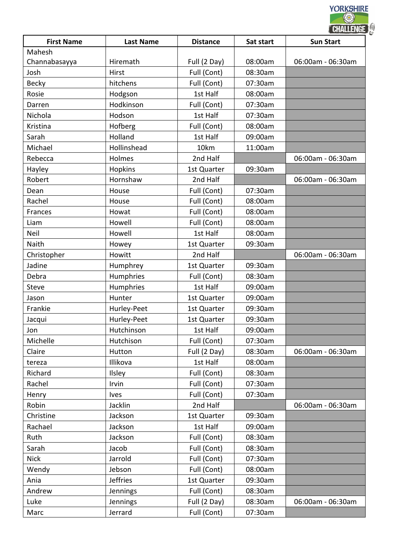| <b>First Name</b> | <b>Last Name</b> | <b>Distance</b> | Sat start | <b>CHALLENGE</b><br><b>Sun Start</b> |
|-------------------|------------------|-----------------|-----------|--------------------------------------|
| Mahesh            |                  |                 |           |                                      |
| Channabasayya     | Hiremath         | Full (2 Day)    | 08:00am   | 06:00am - 06:30am                    |
| Josh              | Hirst            | Full (Cont)     | 08:30am   |                                      |
| <b>Becky</b>      | hitchens         | Full (Cont)     | 07:30am   |                                      |
| Rosie             | Hodgson          | 1st Half        | 08:00am   |                                      |
| Darren            | Hodkinson        | Full (Cont)     | 07:30am   |                                      |
| Nichola           | Hodson           | 1st Half        | 07:30am   |                                      |
| Kristina          | Hofberg          | Full (Cont)     | 08:00am   |                                      |
| Sarah             | Holland          | 1st Half        | 09:00am   |                                      |
| Michael           | Hollinshead      | 10km            | 11:00am   |                                      |
| Rebecca           | Holmes           | 2nd Half        |           | 06:00am - 06:30am                    |
| Hayley            | <b>Hopkins</b>   | 1st Quarter     | 09:30am   |                                      |
| Robert            | Hornshaw         | 2nd Half        |           | 06:00am - 06:30am                    |
| Dean              | House            | Full (Cont)     | 07:30am   |                                      |
| Rachel            | House            | Full (Cont)     | 08:00am   |                                      |
| Frances           | Howat            | Full (Cont)     | 08:00am   |                                      |
| Liam              | Howell           | Full (Cont)     | 08:00am   |                                      |
| Neil              | Howell           | 1st Half        | 08:00am   |                                      |
| Naith             | Howey            | 1st Quarter     | 09:30am   |                                      |
| Christopher       | Howitt           | 2nd Half        |           | 06:00am - 06:30am                    |
| Jadine            | Humphrey         | 1st Quarter     | 09:30am   |                                      |
| Debra             | Humphries        | Full (Cont)     | 08:30am   |                                      |
| <b>Steve</b>      | Humphries        | 1st Half        | 09:00am   |                                      |
| Jason             | Hunter           | 1st Quarter     | 09:00am   |                                      |
| Frankie           | Hurley-Peet      | 1st Quarter     | 09:30am   |                                      |
| Jacqui            | Hurley-Peet      | 1st Quarter     | 09:30am   |                                      |
| Jon               | Hutchinson       | 1st Half        | 09:00am   |                                      |
| Michelle          | Hutchison        | Full (Cont)     | 07:30am   |                                      |
| Claire            | Hutton           | Full (2 Day)    | 08:30am   | 06:00am - 06:30am                    |
| tereza            | Illikova         | 1st Half        | 08:00am   |                                      |
| Richard           | Ilsley           | Full (Cont)     | 08:30am   |                                      |
| Rachel            | Irvin            | Full (Cont)     | 07:30am   |                                      |
| Henry             | <b>Ives</b>      | Full (Cont)     | 07:30am   |                                      |
| Robin             | Jacklin          | 2nd Half        |           | 06:00am - 06:30am                    |
| Christine         | Jackson          | 1st Quarter     | 09:30am   |                                      |
| Rachael           | Jackson          | 1st Half        | 09:00am   |                                      |
| Ruth              | Jackson          | Full (Cont)     | 08:30am   |                                      |
| Sarah             | Jacob            | Full (Cont)     | 08:30am   |                                      |
| <b>Nick</b>       | Jarrold          | Full (Cont)     | 07:30am   |                                      |
| Wendy             | Jebson           | Full (Cont)     | 08:00am   |                                      |
| Ania              | <b>Jeffries</b>  | 1st Quarter     | 09:30am   |                                      |
| Andrew            | Jennings         | Full (Cont)     | 08:30am   |                                      |
| Luke              | Jennings         | Full (2 Day)    | 08:30am   | 06:00am - 06:30am                    |
|                   |                  |                 |           |                                      |
| Marc              | Jerrard          | Full (Cont)     | 07:30am   |                                      |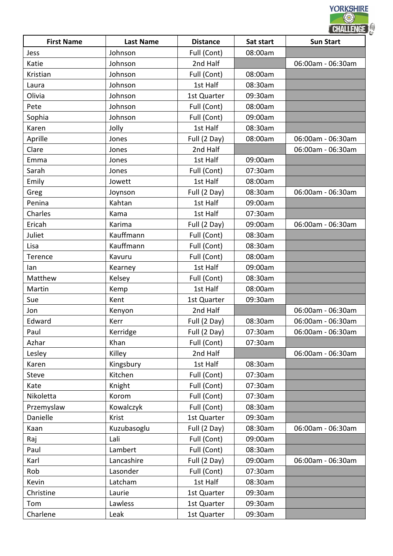|                   |                  |                 | CHALLENGE |                   |  |
|-------------------|------------------|-----------------|-----------|-------------------|--|
| <b>First Name</b> | <b>Last Name</b> | <b>Distance</b> | Sat start | <b>Sun Start</b>  |  |
| Jess              | Johnson          | Full (Cont)     | 08:00am   |                   |  |
| Katie             | Johnson          | 2nd Half        |           | 06:00am - 06:30am |  |
| Kristian          | Johnson          | Full (Cont)     | 08:00am   |                   |  |
| Laura             | Johnson          | 1st Half        | 08:30am   |                   |  |
| Olivia            | Johnson          | 1st Quarter     | 09:30am   |                   |  |
| Pete              | Johnson          | Full (Cont)     | 08:00am   |                   |  |
| Sophia            | Johnson          | Full (Cont)     | 09:00am   |                   |  |
| Karen             | Jolly            | 1st Half        | 08:30am   |                   |  |
| Aprille           | Jones            | Full (2 Day)    | 08:00am   | 06:00am - 06:30am |  |
| Clare             | Jones            | 2nd Half        |           | 06:00am - 06:30am |  |
| Emma              | Jones            | 1st Half        | 09:00am   |                   |  |
| Sarah             | Jones            | Full (Cont)     | 07:30am   |                   |  |
| Emily             | Jowett           | 1st Half        | 08:00am   |                   |  |
| Greg              | Joynson          | Full (2 Day)    | 08:30am   | 06:00am - 06:30am |  |
| Penina            | Kahtan           | 1st Half        | 09:00am   |                   |  |
| Charles           | Kama             | 1st Half        | 07:30am   |                   |  |
| Ericah            | Karima           | Full (2 Day)    | 09:00am   | 06:00am - 06:30am |  |
| Juliet            | Kauffmann        | Full (Cont)     | 08:30am   |                   |  |
| Lisa              | Kauffmann        | Full (Cont)     | 08:30am   |                   |  |
| Terence           | Kavuru           | Full (Cont)     | 08:00am   |                   |  |
| lan               | Kearney          | 1st Half        | 09:00am   |                   |  |
| Matthew           | Kelsey           | Full (Cont)     | 08:30am   |                   |  |
| Martin            | Kemp             | 1st Half        | 08:00am   |                   |  |
| Sue               | Kent             | 1st Quarter     | 09:30am   |                   |  |
| Jon               | Kenyon           | 2nd Half        |           | 06:00am - 06:30am |  |
| Edward            | Kerr             | Full (2 Day)    | 08:30am   | 06:00am - 06:30am |  |
| Paul              | Kerridge         | Full (2 Day)    | 07:30am   | 06:00am - 06:30am |  |
| Azhar             | Khan             | Full (Cont)     | 07:30am   |                   |  |
| Lesley            | Killey           | 2nd Half        |           | 06:00am - 06:30am |  |
| Karen             | Kingsbury        | 1st Half        | 08:30am   |                   |  |
| <b>Steve</b>      | Kitchen          | Full (Cont)     | 07:30am   |                   |  |
| Kate              | Knight           | Full (Cont)     | 07:30am   |                   |  |
| Nikoletta         | Korom            | Full (Cont)     | 07:30am   |                   |  |
| Przemyslaw        | Kowalczyk        | Full (Cont)     | 08:30am   |                   |  |
| Danielle          | Krist            | 1st Quarter     | 09:30am   |                   |  |
| Kaan              | Kuzubasoglu      | Full (2 Day)    | 08:30am   | 06:00am - 06:30am |  |
| Raj               | Lali             | Full (Cont)     | 09:00am   |                   |  |
| Paul              | Lambert          | Full (Cont)     | 08:30am   |                   |  |
| Karl              | Lancashire       | Full (2 Day)    | 09:00am   | 06:00am - 06:30am |  |
| Rob               | Lasonder         | Full (Cont)     | 07:30am   |                   |  |
| Kevin             | Latcham          | 1st Half        | 08:30am   |                   |  |
| Christine         | Laurie           | 1st Quarter     | 09:30am   |                   |  |
| Tom               | Lawless          | 1st Quarter     | 09:30am   |                   |  |
| Charlene          | Leak             | 1st Quarter     | 09:30am   |                   |  |
|                   |                  |                 |           |                   |  |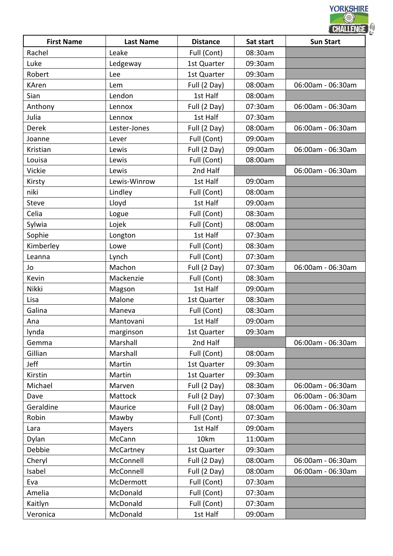|                   |                  |                 |           | <b>CHALLENGE</b>  |  |
|-------------------|------------------|-----------------|-----------|-------------------|--|
| <b>First Name</b> | <b>Last Name</b> | <b>Distance</b> | Sat start | <b>Sun Start</b>  |  |
| Rachel            | Leake            | Full (Cont)     | 08:30am   |                   |  |
| Luke              | Ledgeway         | 1st Quarter     | 09:30am   |                   |  |
| Robert            | Lee              | 1st Quarter     | 09:30am   |                   |  |
| <b>KAren</b>      | Lem              | Full (2 Day)    | 08:00am   | 06:00am - 06:30am |  |
| Sian              | Lendon           | 1st Half        | 08:00am   |                   |  |
| Anthony           | Lennox           | Full (2 Day)    | 07:30am   | 06:00am - 06:30am |  |
| Julia             | Lennox           | 1st Half        | 07:30am   |                   |  |
| Derek             | Lester-Jones     | Full (2 Day)    | 08:00am   | 06:00am - 06:30am |  |
| Joanne            | Lever            | Full (Cont)     | 09:00am   |                   |  |
| Kristian          | Lewis            | Full (2 Day)    | 09:00am   | 06:00am - 06:30am |  |
| Louisa            | Lewis            | Full (Cont)     | 08:00am   |                   |  |
| Vickie            | Lewis            | 2nd Half        |           | 06:00am - 06:30am |  |
| Kirsty            | Lewis-Winrow     | 1st Half        | 09:00am   |                   |  |
| niki              | Lindley          | Full (Cont)     | 08:00am   |                   |  |
| Steve             | Lloyd            | 1st Half        | 09:00am   |                   |  |
| Celia             | Logue            | Full (Cont)     | 08:30am   |                   |  |
| Sylwia            | Lojek            | Full (Cont)     | 08:00am   |                   |  |
| Sophie            | Longton          | 1st Half        | 07:30am   |                   |  |
| Kimberley         | Lowe             | Full (Cont)     | 08:30am   |                   |  |
| Leanna            | Lynch            | Full (Cont)     | 07:30am   |                   |  |
| Jo                | Machon           | Full (2 Day)    | 07:30am   | 06:00am - 06:30am |  |
| Kevin             | Mackenzie        | Full (Cont)     | 08:30am   |                   |  |
| Nikki             | Magson           | 1st Half        | 09:00am   |                   |  |
| Lisa              | Malone           | 1st Quarter     | 08:30am   |                   |  |
| Galina            | Maneva           | Full (Cont)     | 08:30am   |                   |  |
| Ana               | Mantovani        | 1st Half        | 09:00am   |                   |  |
| lynda             | marginson        | 1st Quarter     | 09:30am   |                   |  |
| Gemma             | Marshall         | 2nd Half        |           | 06:00am - 06:30am |  |
| Gillian           | Marshall         | Full (Cont)     | 08:00am   |                   |  |
| Jeff              | Martin           | 1st Quarter     | 09:30am   |                   |  |
| Kirstin           | Martin           | 1st Quarter     | 09:30am   |                   |  |
| Michael           | Marven           | Full (2 Day)    | 08:30am   | 06:00am - 06:30am |  |
| Dave              | Mattock          | Full (2 Day)    | 07:30am   | 06:00am - 06:30am |  |
| Geraldine         | Maurice          | Full (2 Day)    | 08:00am   | 06:00am - 06:30am |  |
| Robin             | Mawby            | Full (Cont)     | 07:30am   |                   |  |
| Lara              | Mayers           | 1st Half        | 09:00am   |                   |  |
| Dylan             | McCann           | 10km            | 11:00am   |                   |  |
| Debbie            | McCartney        | 1st Quarter     | 09:30am   |                   |  |
| Cheryl            | McConnell        | Full (2 Day)    | 08:00am   | 06:00am - 06:30am |  |
| Isabel            | McConnell        | Full (2 Day)    | 08:00am   | 06:00am - 06:30am |  |
| Eva               | McDermott        | Full (Cont)     | 07:30am   |                   |  |
| Amelia            | McDonald         | Full (Cont)     | 07:30am   |                   |  |
| Kaitlyn           | McDonald         | Full (Cont)     | 07:30am   |                   |  |
| Veronica          | McDonald         | 1st Half        | 09:00am   |                   |  |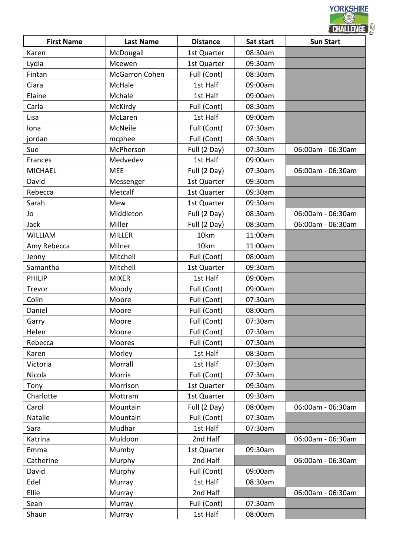|                   |                       |                 |           | <b>CHALLENGE</b>  |
|-------------------|-----------------------|-----------------|-----------|-------------------|
| <b>First Name</b> | <b>Last Name</b>      | <b>Distance</b> | Sat start | <b>Sun Start</b>  |
| Karen             | McDougall             | 1st Quarter     | 08:30am   |                   |
| Lydia             | Mcewen                | 1st Quarter     | 09:30am   |                   |
| Fintan            | <b>McGarron Cohen</b> | Full (Cont)     | 08:30am   |                   |
| Ciara             | McHale                | 1st Half        | 09:00am   |                   |
| Elaine            | Mchale                | 1st Half        | 09:00am   |                   |
| Carla             | McKirdy               | Full (Cont)     | 08:30am   |                   |
| Lisa              | McLaren               | 1st Half        | 09:00am   |                   |
| Iona              | McNeile               | Full (Cont)     | 07:30am   |                   |
| jordan            | mcphee                | Full (Cont)     | 08:30am   |                   |
| Sue               | McPherson             | Full (2 Day)    | 07:30am   | 06:00am - 06:30am |
| Frances           | Medvedev              | 1st Half        | 09:00am   |                   |
| <b>MICHAEL</b>    | <b>MEE</b>            | Full (2 Day)    | 07:30am   | 06:00am - 06:30am |
| David             | Messenger             | 1st Quarter     | 09:30am   |                   |
| Rebecca           | Metcalf               | 1st Quarter     | 09:30am   |                   |
| Sarah             | Mew                   | 1st Quarter     | 09:30am   |                   |
| Jo                | Middleton             | Full (2 Day)    | 08:30am   | 06:00am - 06:30am |
| Jack              | Miller                | Full (2 Day)    | 08:30am   | 06:00am - 06:30am |
| <b>WILLIAM</b>    | <b>MILLER</b>         | 10km            | 11:00am   |                   |
| Amy Rebecca       | Milner                | 10km            | 11:00am   |                   |
| Jenny             | Mitchell              | Full (Cont)     | 08:00am   |                   |
| Samantha          | Mitchell              | 1st Quarter     | 09:30am   |                   |
| <b>PHILIP</b>     | <b>MIXER</b>          | 1st Half        | 09:00am   |                   |
| Trevor            | Moody                 | Full (Cont)     | 09:00am   |                   |
| Colin             | Moore                 | Full (Cont)     | 07:30am   |                   |
| Daniel            | Moore                 | Full (Cont)     | 08:00am   |                   |
| Garry             | Moore                 | Full (Cont)     | 07:30am   |                   |
| Helen             | Moore                 | Full (Cont)     | 07:30am   |                   |
| Rebecca           | <b>Moores</b>         | Full (Cont)     | 07:30am   |                   |
| Karen             | Morley                | 1st Half        | 08:30am   |                   |
| Victoria          | Morrall               | 1st Half        | 07:30am   |                   |
| Nicola            | <b>Morris</b>         | Full (Cont)     | 07:30am   |                   |
| Tony              | Morrison              | 1st Quarter     | 09:30am   |                   |
| Charlotte         | Mottram               | 1st Quarter     | 09:30am   |                   |
| Carol             | Mountain              | Full (2 Day)    | 08:00am   | 06:00am - 06:30am |
| Natalie           | Mountain              | Full (Cont)     | 07:30am   |                   |
| Sara              | Mudhar                | 1st Half        | 07:30am   |                   |
| Katrina           | Muldoon               | 2nd Half        |           | 06:00am - 06:30am |
| Emma              | Mumby                 | 1st Quarter     | 09:30am   |                   |
| Catherine         | Murphy                | 2nd Half        |           | 06:00am - 06:30am |
| David             | Murphy                | Full (Cont)     | 09:00am   |                   |
| Edel              | Murray                | 1st Half        | 08:30am   |                   |
| Ellie             | Murray                | 2nd Half        |           | 06:00am - 06:30am |
| Sean              |                       | Full (Cont)     | 07:30am   |                   |
|                   | Murray                | 1st Half        | 08:00am   |                   |
| Shaun             | Murray                |                 |           |                   |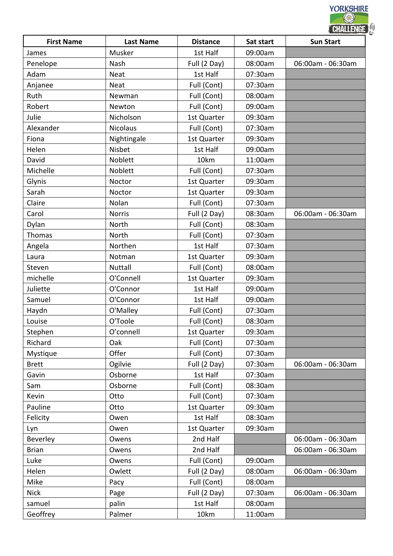|                   |                  |                 |           | CHALLENGE         |
|-------------------|------------------|-----------------|-----------|-------------------|
| <b>First Name</b> | <b>Last Name</b> | <b>Distance</b> | Sat start | <b>Sun Start</b>  |
| James             | Musker           | 1st Half        | 09:00am   |                   |
| Penelope          | Nash             | Full (2 Day)    | 08:00am   | 06:00am - 06:30am |
| Adam              | <b>Neat</b>      | 1st Half        | 07:30am   |                   |
| Anjanee           | <b>Neat</b>      | Full (Cont)     | 07:30am   |                   |
| Ruth              | Newman           | Full (Cont)     | 08:00am   |                   |
| Robert            | Newton           | Full (Cont)     | 09:00am   |                   |
| Julie             | Nicholson        | 1st Quarter     | 09:30am   |                   |
| Alexander         | <b>Nicolaus</b>  | Full (Cont)     | 07:30am   |                   |
| Fiona             | Nightingale      | 1st Quarter     | 09:30am   |                   |
| Helen             | Nisbet           | 1st Half        | 09:00am   |                   |
| David             | Noblett          | 10km            | 11:00am   |                   |
| Michelle          | Noblett          | Full (Cont)     | 07:30am   |                   |
| Glynis            | Noctor           | 1st Quarter     | 09:30am   |                   |
| Sarah             | Noctor           | 1st Quarter     | 09:30am   |                   |
| Claire            | Nolan            | Full (Cont)     | 07:30am   |                   |
| Carol             | <b>Norris</b>    | Full (2 Day)    | 08:30am   | 06:00am - 06:30am |
| Dylan             | North            | Full (Cont)     | 08:30am   |                   |
| Thomas            | North            | Full (Cont)     | 07:30am   |                   |
| Angela            | Northen          | 1st Half        | 07:30am   |                   |
| Laura             | Notman           | 1st Quarter     | 09:30am   |                   |
| Steven            | <b>Nuttall</b>   | Full (Cont)     | 08:00am   |                   |
| michelle          | O'Connell        | 1st Quarter     | 09:30am   |                   |
| Juliette          | O'Connor         | 1st Half        | 09:00am   |                   |
| Samuel            | O'Connor         | 1st Half        | 09:00am   |                   |
| Haydn             | O'Malley         | Full (Cont)     | 07:30am   |                   |
| Louise            | O'Toole          | Full (Cont)     | 08:30am   |                   |
| Stephen           | O'connell        | 1st Quarter     | 09:30am   |                   |
| Richard           | Oak              | Full (Cont)     | 07:30am   |                   |
| Mystique          | Offer            | Full (Cont)     | 07:30am   |                   |
| <b>Brett</b>      | Ogilvie          | Full (2 Day)    | 07:30am   | 06:00am - 06:30am |
| Gavin             | Osborne          | 1st Half        | 07:30am   |                   |
| Sam               | Osborne          | Full (Cont)     | 08:30am   |                   |
| Kevin             | Otto             | Full (Cont)     | 07:30am   |                   |
| Pauline           | Otto             | 1st Quarter     | 09:30am   |                   |
| Felicity          | Owen             | 1st Half        | 08:30am   |                   |
| Lyn               | Owen             | 1st Quarter     | 09:30am   |                   |
| Beverley          | Owens            | 2nd Half        |           | 06:00am - 06:30am |
| <b>Brian</b>      | Owens            | 2nd Half        |           | 06:00am - 06:30am |
| Luke              | Owens            | Full (Cont)     | 09:00am   |                   |
| Helen             | Owlett           | Full (2 Day)    | 08:00am   | 06:00am - 06:30am |
| Mike              | Pacy             | Full (Cont)     | 08:00am   |                   |
| <b>Nick</b>       | Page             | Full (2 Day)    | 07:30am   | 06:00am - 06:30am |
|                   |                  | 1st Half        |           |                   |
| samuel            | palin            |                 | 08:00am   |                   |
| Geoffrey          | Palmer           | 10km            | 11:00am   |                   |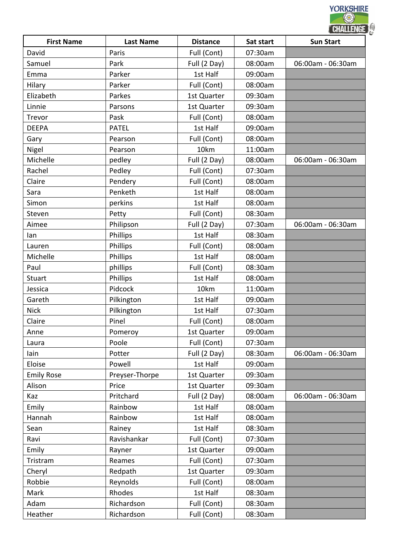| <b>First Name</b> | <b>Last Name</b> | <b>Distance</b> | Sat start | <b>CHALLENGE</b><br><b>Sun Start</b> |
|-------------------|------------------|-----------------|-----------|--------------------------------------|
| David             | Paris            | Full (Cont)     | 07:30am   |                                      |
| Samuel            | Park             | Full (2 Day)    | 08:00am   | 06:00am - 06:30am                    |
| Emma              | Parker           | 1st Half        | 09:00am   |                                      |
| Hilary            | Parker           | Full (Cont)     | 08:00am   |                                      |
| Elizabeth         | Parkes           | 1st Quarter     | 09:30am   |                                      |
|                   |                  |                 |           |                                      |
| Linnie            | Parsons          | 1st Quarter     | 09:30am   |                                      |
| Trevor            | Pask             | Full (Cont)     | 08:00am   |                                      |
| <b>DEEPA</b>      | <b>PATEL</b>     | 1st Half        | 09:00am   |                                      |
| Gary              | Pearson          | Full (Cont)     | 08:00am   |                                      |
| Nigel             | Pearson          | 10km            | 11:00am   |                                      |
| Michelle          | pedley           | Full (2 Day)    | 08:00am   | 06:00am - 06:30am                    |
| Rachel            | Pedley           | Full (Cont)     | 07:30am   |                                      |
| Claire            | Pendery          | Full (Cont)     | 08:00am   |                                      |
| Sara              | Penketh          | 1st Half        | 08:00am   |                                      |
| Simon             | perkins          | 1st Half        | 08:00am   |                                      |
| Steven            | Petty            | Full (Cont)     | 08:30am   |                                      |
| Aimee             | Philipson        | Full (2 Day)    | 07:30am   | 06:00am - 06:30am                    |
| lan               | Phillips         | 1st Half        | 08:30am   |                                      |
| Lauren            | Phillips         | Full (Cont)     | 08:00am   |                                      |
| Michelle          | Phillips         | 1st Half        | 08:00am   |                                      |
| Paul              | phillips         | Full (Cont)     | 08:30am   |                                      |
| <b>Stuart</b>     | Phillips         | 1st Half        | 08:00am   |                                      |
| Jessica           | Pidcock          | 10km            | 11:00am   |                                      |
| Gareth            | Pilkington       | 1st Half        | 09:00am   |                                      |
| <b>Nick</b>       | Pilkington       | 1st Half        | 07:30am   |                                      |
| Claire            | Pinel            | Full (Cont)     | 08:00am   |                                      |
| Anne              | Pomeroy          | 1st Quarter     | 09:00am   |                                      |
| Laura             | Poole            | Full (Cont)     | 07:30am   |                                      |
| lain              | Potter           | Full (2 Day)    | 08:30am   | 06:00am - 06:30am                    |
| Eloise            | Powell           | 1st Half        | 09:00am   |                                      |
| <b>Emily Rose</b> | Preyser-Thorpe   | 1st Quarter     | 09:30am   |                                      |
| Alison            | Price            | 1st Quarter     | 09:30am   |                                      |
| Kaz               | Pritchard        | Full (2 Day)    | 08:00am   | 06:00am - 06:30am                    |
| Emily             | Rainbow          | 1st Half        | 08:00am   |                                      |
| Hannah            | Rainbow          | 1st Half        | 08:00am   |                                      |
| Sean              | Rainey           | 1st Half        | 08:30am   |                                      |
| Ravi              | Ravishankar      | Full (Cont)     | 07:30am   |                                      |
|                   |                  |                 |           |                                      |
| Emily             | Rayner           | 1st Quarter     | 09:00am   |                                      |
| Tristram          | Reames           | Full (Cont)     | 07:30am   |                                      |
| Cheryl            | Redpath          | 1st Quarter     | 09:30am   |                                      |
| Robbie            | Reynolds         | Full (Cont)     | 08:00am   |                                      |
| Mark              | Rhodes           | 1st Half        | 08:30am   |                                      |
| Adam              | Richardson       | Full (Cont)     | 08:30am   |                                      |
| Heather           | Richardson       | Full (Cont)     | 08:30am   |                                      |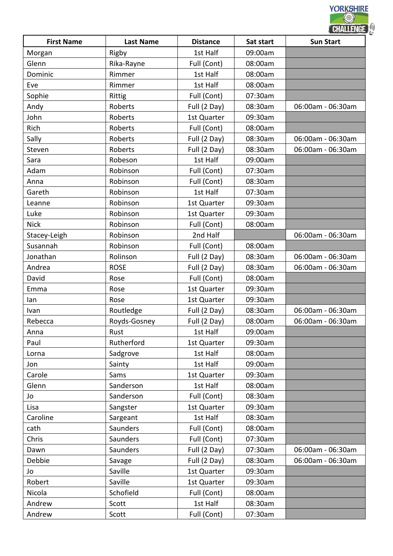|                   |                  |                 |           | CHALLENGE         |  |
|-------------------|------------------|-----------------|-----------|-------------------|--|
| <b>First Name</b> | <b>Last Name</b> | <b>Distance</b> | Sat start | <b>Sun Start</b>  |  |
| Morgan            | Rigby            | 1st Half        | 09:00am   |                   |  |
| Glenn             | Rika-Rayne       | Full (Cont)     | 08:00am   |                   |  |
| Dominic           | Rimmer           | 1st Half        | 08:00am   |                   |  |
| Eve               | Rimmer           | 1st Half        | 08:00am   |                   |  |
| Sophie            | Rittig           | Full (Cont)     | 07:30am   |                   |  |
| Andy              | Roberts          | Full (2 Day)    | 08:30am   | 06:00am - 06:30am |  |
| John              | Roberts          | 1st Quarter     | 09:30am   |                   |  |
| Rich              | Roberts          | Full (Cont)     | 08:00am   |                   |  |
| Sally             | Roberts          | Full (2 Day)    | 08:30am   | 06:00am - 06:30am |  |
| Steven            | Roberts          | Full (2 Day)    | 08:30am   | 06:00am - 06:30am |  |
| Sara              | Robeson          | 1st Half        | 09:00am   |                   |  |
| Adam              | Robinson         | Full (Cont)     | 07:30am   |                   |  |
| Anna              | Robinson         | Full (Cont)     | 08:30am   |                   |  |
| Gareth            | Robinson         | 1st Half        | 07:30am   |                   |  |
| Leanne            | Robinson         | 1st Quarter     | 09:30am   |                   |  |
| Luke              | Robinson         | 1st Quarter     | 09:30am   |                   |  |
| <b>Nick</b>       | Robinson         | Full (Cont)     | 08:00am   |                   |  |
| Stacey-Leigh      | Robinson         | 2nd Half        |           | 06:00am - 06:30am |  |
| Susannah          | Robinson         | Full (Cont)     | 08:00am   |                   |  |
| Jonathan          | Rolinson         | Full (2 Day)    | 08:30am   | 06:00am - 06:30am |  |
| Andrea            | <b>ROSE</b>      | Full (2 Day)    | 08:30am   | 06:00am - 06:30am |  |
| David             | Rose             | Full (Cont)     | 08:00am   |                   |  |
| Emma              | Rose             | 1st Quarter     | 09:30am   |                   |  |
| lan               | Rose             | 1st Quarter     | 09:30am   |                   |  |
| Ivan              | Routledge        | Full (2 Day)    | 08:30am   | 06:00am - 06:30am |  |
| Rebecca           | Royds-Gosney     | Full (2 Day)    | 08:00am   | 06:00am - 06:30am |  |
| Anna              | Rust             | 1st Half        | 09:00am   |                   |  |
| Paul              | Rutherford       | 1st Quarter     | 09:30am   |                   |  |
| Lorna             | Sadgrove         | 1st Half        | 08:00am   |                   |  |
| Jon               | Sainty           | 1st Half        | 09:00am   |                   |  |
| Carole            | Sams             | 1st Quarter     | 09:30am   |                   |  |
| Glenn             | Sanderson        | 1st Half        | 08:00am   |                   |  |
| Jo                | Sanderson        | Full (Cont)     | 08:30am   |                   |  |
| Lisa              | Sangster         | 1st Quarter     | 09:30am   |                   |  |
| Caroline          | Sargeant         | 1st Half        | 08:30am   |                   |  |
| cath              | Saunders         | Full (Cont)     | 08:00am   |                   |  |
| Chris             | Saunders         | Full (Cont)     | 07:30am   |                   |  |
| Dawn              | Saunders         | Full (2 Day)    | 07:30am   | 06:00am - 06:30am |  |
| Debbie            | Savage           | Full (2 Day)    | 08:30am   | 06:00am - 06:30am |  |
| Jo                | Saville          | 1st Quarter     | 09:30am   |                   |  |
| Robert            | Saville          | 1st Quarter     | 09:30am   |                   |  |
| Nicola            | Schofield        | Full (Cont)     | 08:00am   |                   |  |
| Andrew            | Scott            | 1st Half        | 08:30am   |                   |  |
| Andrew            | Scott            | Full (Cont)     | 07:30am   |                   |  |
|                   |                  |                 |           |                   |  |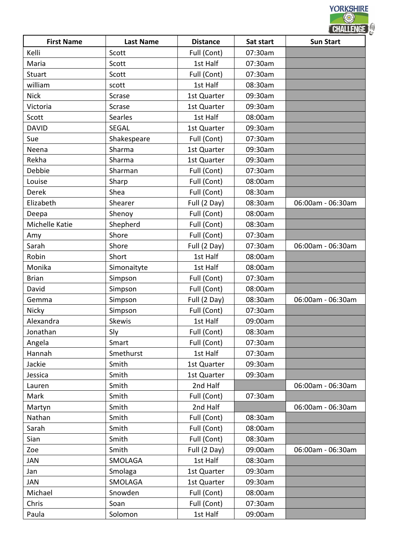|                   |                  |                 |           | <b>CHALLENGE</b>  |
|-------------------|------------------|-----------------|-----------|-------------------|
| <b>First Name</b> | <b>Last Name</b> | <b>Distance</b> | Sat start | <b>Sun Start</b>  |
| Kelli             | Scott            | Full (Cont)     | 07:30am   |                   |
| Maria             | Scott            | 1st Half        | 07:30am   |                   |
| <b>Stuart</b>     | Scott            | Full (Cont)     | 07:30am   |                   |
| william           | scott            | 1st Half        | 08:30am   |                   |
| <b>Nick</b>       | Scrase           | 1st Quarter     | 09:30am   |                   |
| Victoria          | Scrase           | 1st Quarter     | 09:30am   |                   |
| Scott             | Searles          | 1st Half        | 08:00am   |                   |
| <b>DAVID</b>      | <b>SEGAL</b>     | 1st Quarter     | 09:30am   |                   |
| Sue               | Shakespeare      | Full (Cont)     | 07:30am   |                   |
| Neena             | Sharma           | 1st Quarter     | 09:30am   |                   |
| Rekha             | Sharma           | 1st Quarter     | 09:30am   |                   |
| Debbie            | Sharman          | Full (Cont)     | 07:30am   |                   |
| Louise            | Sharp            | Full (Cont)     | 08:00am   |                   |
| Derek             | Shea             | Full (Cont)     | 08:30am   |                   |
| Elizabeth         | Shearer          | Full (2 Day)    | 08:30am   | 06:00am - 06:30am |
| Deepa             | Shenoy           | Full (Cont)     | 08:00am   |                   |
| Michelle Katie    | Shepherd         | Full (Cont)     | 08:30am   |                   |
| Amy               | Shore            | Full (Cont)     | 07:30am   |                   |
| Sarah             | Shore            | Full (2 Day)    | 07:30am   | 06:00am - 06:30am |
| Robin             | Short            | 1st Half        | 08:00am   |                   |
| Monika            | Simonaityte      | 1st Half        | 08:00am   |                   |
| <b>Brian</b>      | Simpson          | Full (Cont)     | 07:30am   |                   |
| David             | Simpson          | Full (Cont)     | 08:00am   |                   |
| Gemma             | Simpson          | Full (2 Day)    | 08:30am   | 06:00am - 06:30am |
| Nicky             | Simpson          | Full (Cont)     | 07:30am   |                   |
| Alexandra         | <b>Skewis</b>    | 1st Half        | 09:00am   |                   |
| Jonathan          | Sly              | Full (Cont)     | 08:30am   |                   |
| Angela            | Smart            | Full (Cont)     | 07:30am   |                   |
| Hannah            | Smethurst        | 1st Half        | 07:30am   |                   |
| Jackie            | Smith            | 1st Quarter     | 09:30am   |                   |
| Jessica           | Smith            | 1st Quarter     | 09:30am   |                   |
| Lauren            | Smith            | 2nd Half        |           | 06:00am - 06:30am |
| Mark              | Smith            | Full (Cont)     | 07:30am   |                   |
| Martyn            | Smith            | 2nd Half        |           | 06:00am - 06:30am |
| Nathan            | Smith            | Full (Cont)     | 08:30am   |                   |
| Sarah             | Smith            | Full (Cont)     | 08:00am   |                   |
| Sian              | Smith            | Full (Cont)     | 08:30am   |                   |
| Zoe               | Smith            | Full (2 Day)    | 09:00am   | 06:00am - 06:30am |
| <b>JAN</b>        | SMOLAGA          | 1st Half        | 08:30am   |                   |
| Jan               | Smolaga          | 1st Quarter     | 09:30am   |                   |
| JAN               | SMOLAGA          | 1st Quarter     | 09:30am   |                   |
| Michael           | Snowden          | Full (Cont)     | 08:00am   |                   |
| Chris             | Soan             | Full (Cont)     | 07:30am   |                   |
| Paula             | Solomon          | 1st Half        | 09:00am   |                   |
|                   |                  |                 |           |                   |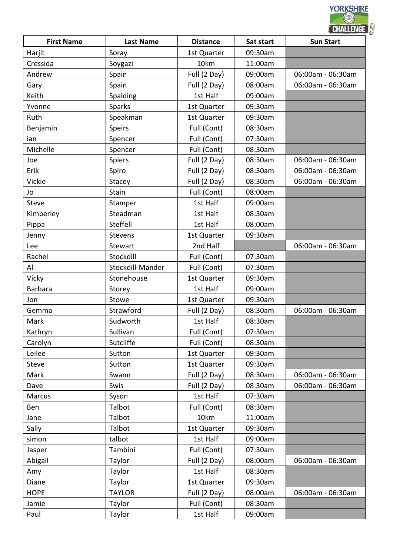|                   |                  |                 |           | <b>CHALLENGE</b>  |  |
|-------------------|------------------|-----------------|-----------|-------------------|--|
| <b>First Name</b> | <b>Last Name</b> | <b>Distance</b> | Sat start | <b>Sun Start</b>  |  |
| Harjit            | Soray            | 1st Quarter     | 09:30am   |                   |  |
| Cressida          | Soygazi          | 10km            | 11:00am   |                   |  |
| Andrew            | Spain            | Full (2 Day)    | 09:00am   | 06:00am - 06:30am |  |
| Gary              | Spain            | Full (2 Day)    | 08:00am   | 06:00am - 06:30am |  |
| Keith             | Spalding         | 1st Half        | 09:00am   |                   |  |
| Yvonne            | <b>Sparks</b>    | 1st Quarter     | 09:30am   |                   |  |
| Ruth              | Speakman         | 1st Quarter     | 09:30am   |                   |  |
| Benjamin          | <b>Speirs</b>    | Full (Cont)     | 08:30am   |                   |  |
| ian               | Spencer          | Full (Cont)     | 07:30am   |                   |  |
| Michelle          | Spencer          | Full (Cont)     | 08:30am   |                   |  |
| Joe               | Spiers           | Full (2 Day)    | 08:30am   | 06:00am - 06:30am |  |
| Erik              | Spiro            | Full (2 Day)    | 08:30am   | 06:00am - 06:30am |  |
| Vickie            | Stacey           | Full (2 Day)    | 08:30am   | 06:00am - 06:30am |  |
| Jo                | Stain            | Full (Cont)     | 08:00am   |                   |  |
| <b>Steve</b>      | Stamper          | 1st Half        | 09:00am   |                   |  |
| Kimberley         | Steadman         | 1st Half        | 08:30am   |                   |  |
| Pippa             | Steffell         | 1st Half        | 08:00am   |                   |  |
| Jenny             | <b>Stevens</b>   | 1st Quarter     | 09:30am   |                   |  |
| Lee               | Stewart          | 2nd Half        |           | 06:00am - 06:30am |  |
| Rachel            | Stockdill        | Full (Cont)     | 07:30am   |                   |  |
| Al                | Stockdill-Mander | Full (Cont)     | 07:30am   |                   |  |
| Vicky             | Stonehouse       | 1st Quarter     | 09:30am   |                   |  |
| <b>Barbara</b>    | Storey           | 1st Half        | 09:00am   |                   |  |
| Jon               | Stowe            | 1st Quarter     | 09:30am   |                   |  |
| Gemma             | Strawford        | Full (2 Day)    | 08:30am   | 06:00am - 06:30am |  |
| Mark              | Sudworth         | 1st Half        | 08:30am   |                   |  |
| Kathryn           | Sullivan         | Full (Cont)     | 07:30am   |                   |  |
| Carolyn           | Sutcliffe        | Full (Cont)     | 08:30am   |                   |  |
| Leilee            | Sutton           | 1st Quarter     | 09:30am   |                   |  |
| <b>Steve</b>      | Sutton           | 1st Quarter     | 09:30am   |                   |  |
| Mark              | Swann            | Full (2 Day)    | 08:30am   | 06:00am - 06:30am |  |
| Dave              | Swis             | Full (2 Day)    | 08:30am   | 06:00am - 06:30am |  |
| Marcus            | Syson            | 1st Half        | 07:30am   |                   |  |
| Ben               | Talbot           | Full (Cont)     | 08:30am   |                   |  |
| Jane              | Talbot           | 10km            | 11:00am   |                   |  |
| Sally             | Talbot           | 1st Quarter     | 09:30am   |                   |  |
| simon             | talbot           | 1st Half        | 09:00am   |                   |  |
| Jasper            | Tambini          | Full (Cont)     | 07:30am   |                   |  |
| Abigail           | Taylor           | Full (2 Day)    | 08:00am   | 06:00am - 06:30am |  |
| Amy               | Taylor           | 1st Half        | 08:30am   |                   |  |
| Diane             | Taylor           | 1st Quarter     | 09:30am   |                   |  |
| <b>HOPE</b>       | <b>TAYLOR</b>    | Full (2 Day)    | 08:00am   | 06:00am - 06:30am |  |
| Jamie             | Taylor           | Full (Cont)     | 08:30am   |                   |  |
|                   |                  | 1st Half        | 09:00am   |                   |  |
| Paul              | Taylor           |                 |           |                   |  |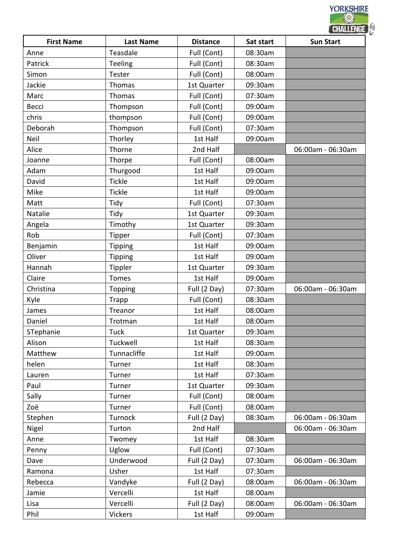|                   |                  |                 |           | CHALLENGE         |  |
|-------------------|------------------|-----------------|-----------|-------------------|--|
| <b>First Name</b> | <b>Last Name</b> | <b>Distance</b> | Sat start | <b>Sun Start</b>  |  |
| Anne              | Teasdale         | Full (Cont)     | 08:30am   |                   |  |
| Patrick           | Teeling          | Full (Cont)     | 08:30am   |                   |  |
| Simon             | Tester           | Full (Cont)     | 08:00am   |                   |  |
| Jackie            | Thomas           | 1st Quarter     | 09:30am   |                   |  |
| Marc              | Thomas           | Full (Cont)     | 07:30am   |                   |  |
| Becci             | Thompson         | Full (Cont)     | 09:00am   |                   |  |
| chris             | thompson         | Full (Cont)     | 09:00am   |                   |  |
| Deborah           | Thompson         | Full (Cont)     | 07:30am   |                   |  |
| Neil              | Thorley          | 1st Half        | 09:00am   |                   |  |
| Alice             | Thorne           | 2nd Half        |           | 06:00am - 06:30am |  |
| Joanne            | Thorpe           | Full (Cont)     | 08:00am   |                   |  |
| Adam              | Thurgood         | 1st Half        | 09:00am   |                   |  |
| David             | Tickle           | 1st Half        | 09:00am   |                   |  |
| Mike              | Tickle           | 1st Half        | 09:00am   |                   |  |
| Matt              | Tidy             | Full (Cont)     | 07:30am   |                   |  |
| Natalie           | Tidy             | 1st Quarter     | 09:30am   |                   |  |
| Angela            | Timothy          | 1st Quarter     | 09:30am   |                   |  |
| Rob               | <b>Tipper</b>    | Full (Cont)     | 07:30am   |                   |  |
| Benjamin          | <b>Tipping</b>   | 1st Half        | 09:00am   |                   |  |
| Oliver            | <b>Tipping</b>   | 1st Half        | 09:00am   |                   |  |
| Hannah            | Tippler          | 1st Quarter     | 09:30am   |                   |  |
| Claire            | <b>Tomes</b>     | 1st Half        | 09:00am   |                   |  |
| Christina         | Topping          | Full (2 Day)    | 07:30am   | 06:00am - 06:30am |  |
| Kyle              | <b>Trapp</b>     | Full (Cont)     | 08:30am   |                   |  |
| James             | Treanor          | 1st Half        | 08:00am   |                   |  |
| Daniel            | Trotman          | 1st Half        | 08:00am   |                   |  |
| STephanie         | <b>Tuck</b>      | 1st Quarter     | 09:30am   |                   |  |
| Alison            | Tuckwell         | 1st Half        | 08:30am   |                   |  |
| Matthew           | Tunnacliffe      | 1st Half        | 09:00am   |                   |  |
| helen             | Turner           | 1st Half        | 08:30am   |                   |  |
| Lauren            | Turner           | 1st Half        | 07:30am   |                   |  |
| Paul              | Turner           | 1st Quarter     | 09:30am   |                   |  |
| Sally             | Turner           | Full (Cont)     | 08:00am   |                   |  |
| Zoë               | Turner           | Full (Cont)     | 08:00am   |                   |  |
| Stephen           | Turnock          | Full (2 Day)    | 08:30am   | 06:00am - 06:30am |  |
| Nigel             | Turton           | 2nd Half        |           | 06:00am - 06:30am |  |
| Anne              | Twomey           | 1st Half        | 08:30am   |                   |  |
| Penny             | Uglow            | Full (Cont)     | 07:30am   |                   |  |
| Dave              | Underwood        | Full (2 Day)    | 07:30am   | 06:00am - 06:30am |  |
| Ramona            | Usher            | 1st Half        | 07:30am   |                   |  |
| Rebecca           | Vandyke          | Full (2 Day)    | 08:00am   | 06:00am - 06:30am |  |
| Jamie             | Vercelli         | 1st Half        | 08:00am   |                   |  |
|                   |                  |                 |           |                   |  |
| Lisa              | Vercelli         | Full (2 Day)    | 08:00am   | 06:00am - 06:30am |  |
| Phil              | <b>Vickers</b>   | 1st Half        | 09:00am   |                   |  |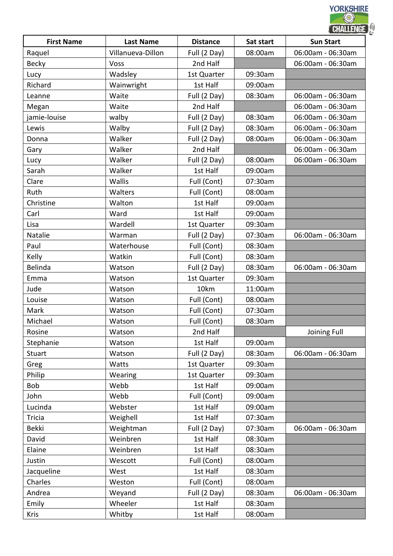|                   |                   |                 |           | <b>CHALLENGE</b>  |  |
|-------------------|-------------------|-----------------|-----------|-------------------|--|
| <b>First Name</b> | <b>Last Name</b>  | <b>Distance</b> | Sat start | <b>Sun Start</b>  |  |
| Raquel            | Villanueva-Dillon | Full (2 Day)    | 08:00am   | 06:00am - 06:30am |  |
| <b>Becky</b>      | Voss              | 2nd Half        |           | 06:00am - 06:30am |  |
| Lucy              | Wadsley           | 1st Quarter     | 09:30am   |                   |  |
| Richard           | Wainwright        | 1st Half        | 09:00am   |                   |  |
| Leanne            | Waite             | Full (2 Day)    | 08:30am   | 06:00am - 06:30am |  |
| Megan             | Waite             | 2nd Half        |           | 06:00am - 06:30am |  |
| jamie-louise      | walby             | Full (2 Day)    | 08:30am   | 06:00am - 06:30am |  |
| Lewis             | Walby             | Full (2 Day)    | 08:30am   | 06:00am - 06:30am |  |
| Donna             | Walker            | Full (2 Day)    | 08:00am   | 06:00am - 06:30am |  |
| Gary              | Walker            | 2nd Half        |           | 06:00am - 06:30am |  |
| Lucy              | Walker            | Full (2 Day)    | 08:00am   | 06:00am - 06:30am |  |
| Sarah             | Walker            | 1st Half        | 09:00am   |                   |  |
| Clare             | Wallis            | Full (Cont)     | 07:30am   |                   |  |
| Ruth              | Walters           | Full (Cont)     | 08:00am   |                   |  |
| Christine         | Walton            | 1st Half        | 09:00am   |                   |  |
| Carl              | Ward              | 1st Half        | 09:00am   |                   |  |
| Lisa              | Wardell           | 1st Quarter     | 09:30am   |                   |  |
| Natalie           | Warman            | Full (2 Day)    | 07:30am   | 06:00am - 06:30am |  |
| Paul              | Waterhouse        | Full (Cont)     | 08:30am   |                   |  |
| Kelly             | Watkin            | Full (Cont)     | 08:30am   |                   |  |
| Belinda           | Watson            | Full (2 Day)    | 08:30am   | 06:00am - 06:30am |  |
| Emma              | Watson            | 1st Quarter     | 09:30am   |                   |  |
| Jude              | Watson            | 10km            | 11:00am   |                   |  |
| Louise            | Watson            | Full (Cont)     | 08:00am   |                   |  |
| Mark              | Watson            | Full (Cont)     | 07:30am   |                   |  |
| Michael           | Watson            | Full (Cont)     | 08:30am   |                   |  |
| Rosine            | Watson            | 2nd Half        |           | Joining Full      |  |
| Stephanie         | Watson            | 1st Half        | 09:00am   |                   |  |
| <b>Stuart</b>     | Watson            | Full (2 Day)    | 08:30am   | 06:00am - 06:30am |  |
| Greg              | Watts             | 1st Quarter     | 09:30am   |                   |  |
| Philip            | Wearing           | 1st Quarter     | 09:30am   |                   |  |
| Bob               | Webb              | 1st Half        | 09:00am   |                   |  |
| John              | Webb              | Full (Cont)     | 09:00am   |                   |  |
| Lucinda           | Webster           | 1st Half        | 09:00am   |                   |  |
| <b>Tricia</b>     | Weighell          | 1st Half        | 07:30am   |                   |  |
| <b>Bekki</b>      | Weightman         | Full (2 Day)    | 07:30am   | 06:00am - 06:30am |  |
| David             | Weinbren          | 1st Half        | 08:30am   |                   |  |
| Elaine            | Weinbren          | 1st Half        | 08:30am   |                   |  |
| Justin            | Wescott           | Full (Cont)     | 08:00am   |                   |  |
| Jacqueline        | West              | 1st Half        | 08:30am   |                   |  |
| Charles           | Weston            | Full (Cont)     | 08:00am   |                   |  |
| Andrea            | Weyand            | Full (2 Day)    | 08:30am   | 06:00am - 06:30am |  |
| Emily             | Wheeler           | 1st Half        | 08:30am   |                   |  |
| Kris              | Whitby            | 1st Half        | 08:00am   |                   |  |
|                   |                   |                 |           |                   |  |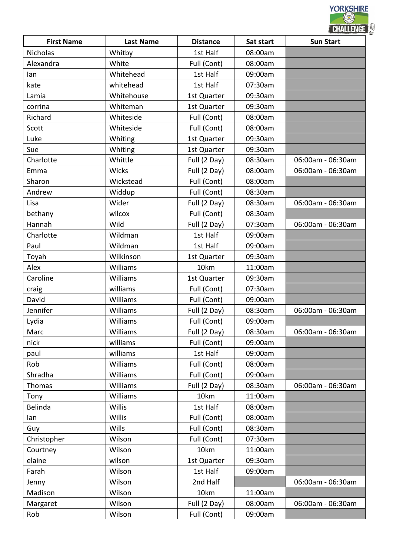| <b>First Name</b> | <b>Last Name</b> | <b>Distance</b> | Sat start | CHALLENGE<br><b>Sun Start</b> |
|-------------------|------------------|-----------------|-----------|-------------------------------|
| <b>Nicholas</b>   | Whitby           | 1st Half        | 08:00am   |                               |
| Alexandra         | White            | Full (Cont)     | 08:00am   |                               |
| lan               | Whitehead        | 1st Half        | 09:00am   |                               |
| kate              | whitehead        | 1st Half        | 07:30am   |                               |
| Lamia             | Whitehouse       | 1st Quarter     | 09:30am   |                               |
| corrina           | Whiteman         | 1st Quarter     | 09:30am   |                               |
| Richard           | Whiteside        | Full (Cont)     | 08:00am   |                               |
| Scott             | Whiteside        |                 | 08:00am   |                               |
|                   |                  | Full (Cont)     |           |                               |
| Luke              | Whiting          | 1st Quarter     | 09:30am   |                               |
| Sue               | Whiting          | 1st Quarter     | 09:30am   |                               |
| Charlotte         | Whittle          | Full (2 Day)    | 08:30am   | 06:00am - 06:30am             |
| Emma              | Wicks            | Full (2 Day)    | 08:00am   | 06:00am - 06:30am             |
| Sharon            | Wickstead        | Full (Cont)     | 08:00am   |                               |
| Andrew            | Widdup           | Full (Cont)     | 08:30am   |                               |
| Lisa              | Wider            | Full (2 Day)    | 08:30am   | 06:00am - 06:30am             |
| bethany           | wilcox           | Full (Cont)     | 08:30am   |                               |
| Hannah            | Wild             | Full (2 Day)    | 07:30am   | 06:00am - 06:30am             |
| Charlotte         | Wildman          | 1st Half        | 09:00am   |                               |
| Paul              | Wildman          | 1st Half        | 09:00am   |                               |
| Toyah             | Wilkinson        | 1st Quarter     | 09:30am   |                               |
| Alex              | Williams         | 10km            | 11:00am   |                               |
| Caroline          | Williams         | 1st Quarter     | 09:30am   |                               |
| craig             | williams         | Full (Cont)     | 07:30am   |                               |
| David             | Williams         | Full (Cont)     | 09:00am   |                               |
| Jennifer          | Williams         | Full (2 Day)    | 08:30am   | 06:00am - 06:30am             |
| Lydia             | Williams         | Full (Cont)     | 09:00am   |                               |
| Marc              | Williams         | Full (2 Day)    | 08:30am   | 06:00am - 06:30am             |
| nick              | williams         | Full (Cont)     | 09:00am   |                               |
| paul              | williams         | 1st Half        | 09:00am   |                               |
| Rob               | Williams         | Full (Cont)     | 08:00am   |                               |
| Shradha           | <b>Williams</b>  | Full (Cont)     | 09:00am   |                               |
| Thomas            | <b>Williams</b>  | Full (2 Day)    | 08:30am   | 06:00am - 06:30am             |
| Tony              | Williams         | 10km            | 11:00am   |                               |
| Belinda           | Willis           | 1st Half        | 08:00am   |                               |
| lan               | Willis           | Full (Cont)     | 08:00am   |                               |
| Guy               | Wills            | Full (Cont)     | 08:30am   |                               |
| Christopher       | Wilson           | Full (Cont)     | 07:30am   |                               |
| Courtney          | Wilson           | 10km            | 11:00am   |                               |
| elaine            | wilson           | 1st Quarter     | 09:30am   |                               |
| Farah             | Wilson           | 1st Half        | 09:00am   |                               |
| Jenny             | Wilson           | 2nd Half        |           | 06:00am - 06:30am             |
| Madison           | Wilson           | 10km            | 11:00am   |                               |
|                   |                  |                 |           |                               |
| Margaret          | Wilson           | Full (2 Day)    | 08:00am   | 06:00am - 06:30am             |
| Rob               | Wilson           | Full (Cont)     | 09:00am   |                               |